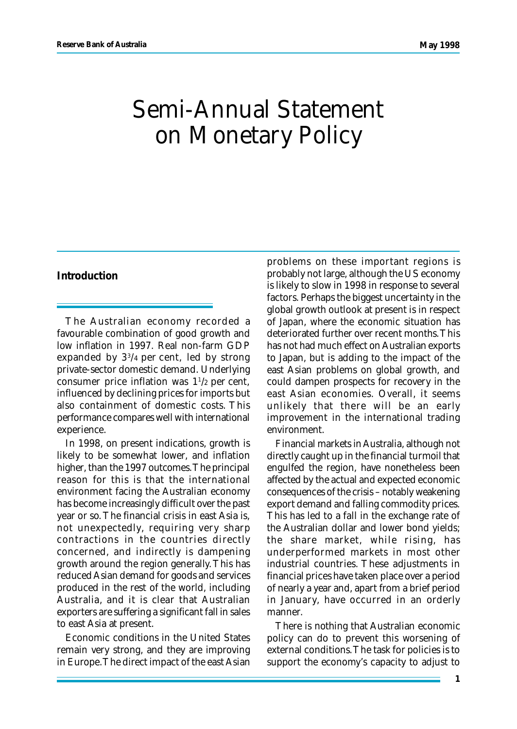# Semi-Annual Statement on Monetary Policy

#### **Introduction**

The Australian economy recorded a favourable combination of good growth and low inflation in 1997. Real non-farm GDP expanded by 3<sup>3</sup> /4 per cent, led by strong private-sector domestic demand. Underlying consumer price inflation was  $1^{1/2}$  per cent, influenced by declining prices for imports but also containment of domestic costs. This performance compares well with international experience.

In 1998, on present indications, growth is likely to be somewhat lower, and inflation higher, than the 1997 outcomes. The principal reason for this is that the international environment facing the Australian economy has become increasingly difficult over the past year or so. The financial crisis in east Asia is, not unexpectedly, requiring very sharp contractions in the countries directly concerned, and indirectly is dampening growth around the region generally. This has reduced Asian demand for goods and services produced in the rest of the world, including Australia, and it is clear that Australian exporters are suffering a significant fall in sales to east Asia at present.

Economic conditions in the United States remain very strong, and they are improving in Europe. The direct impact of the east Asian problems on these important regions is probably not large, although the US economy is likely to slow in 1998 in response to several factors. Perhaps the biggest uncertainty in the global growth outlook at present is in respect of Japan, where the economic situation has deteriorated further over recent months. This has not had much effect on Australian exports to Japan, but is adding to the impact of the east Asian problems on global growth, and could dampen prospects for recovery in the east Asian economies. Overall, it seems unlikely that there will be an early improvement in the international trading environment.

Financial markets in Australia, although not directly caught up in the financial turmoil that engulfed the region, have nonetheless been affected by the actual and expected economic consequences of the crisis – notably weakening export demand and falling commodity prices. This has led to a fall in the exchange rate of the Australian dollar and lower bond yields; the share market, while rising, has underperformed markets in most other industrial countries. These adjustments in financial prices have taken place over a period of nearly a year and, apart from a brief period in January, have occurred in an orderly manner.

There is nothing that Australian economic policy can do to prevent this worsening of external conditions. The task for policies is to support the economy's capacity to adjust to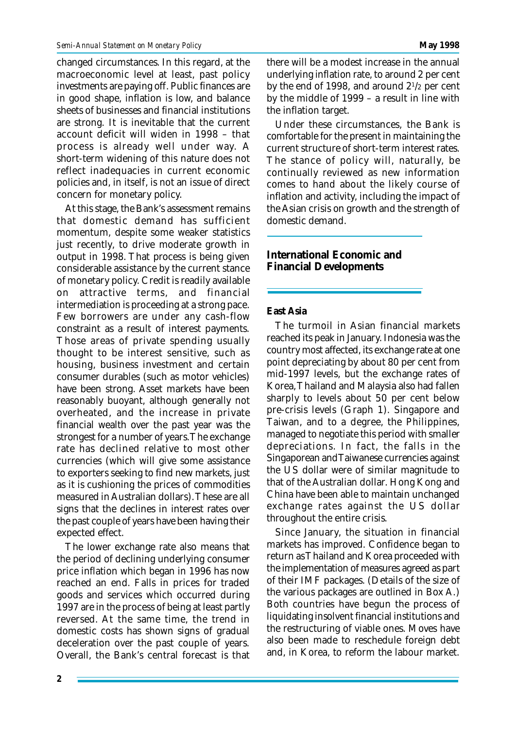changed circumstances. In this regard, at the macroeconomic level at least, past policy investments are paying off. Public finances are in good shape, inflation is low, and balance sheets of businesses and financial institutions are strong. It is inevitable that the current account deficit will widen in 1998 – that process is already well under way. A short-term widening of this nature does not reflect inadequacies in current economic policies and, in itself, is not an issue of direct concern for monetary policy.

At this stage, the Bank's assessment remains that domestic demand has sufficient momentum, despite some weaker statistics just recently, to drive moderate growth in output in 1998. That process is being given considerable assistance by the current stance of monetary policy. Credit is readily available on attractive terms, and financial intermediation is proceeding at a strong pace. Few borrowers are under any cash-flow constraint as a result of interest payments. Those areas of private spending usually thought to be interest sensitive, such as housing, business investment and certain consumer durables (such as motor vehicles) have been strong. Asset markets have been reasonably buoyant, although generally not overheated, and the increase in private financial wealth over the past year was the strongest for a number of years. The exchange rate has declined relative to most other currencies (which will give some assistance to exporters seeking to find new markets, just as it is cushioning the prices of commodities measured in Australian dollars). These are all signs that the declines in interest rates over the past couple of years have been having their expected effect.

The lower exchange rate also means that the period of declining underlying consumer price inflation which began in 1996 has now reached an end. Falls in prices for traded goods and services which occurred during 1997 are in the process of being at least partly reversed. At the same time, the trend in domestic costs has shown signs of gradual deceleration over the past couple of years. Overall, the Bank's central forecast is that there will be a modest increase in the annual underlying inflation rate, to around 2 per cent by the end of 1998, and around 2<sup>1</sup> /2 per cent by the middle of 1999 – a result in line with the inflation target.

Under these circumstances, the Bank is comfortable for the present in maintaining the current structure of short-term interest rates. The stance of policy will, naturally, be continually reviewed as new information comes to hand about the likely course of inflation and activity, including the impact of the Asian crisis on growth and the strength of domestic demand.

#### **International Economic and Financial Developments**

#### **East Asia**

The turmoil in Asian financial markets reached its peak in January. Indonesia was the country most affected, its exchange rate at one point depreciating by about 80 per cent from mid-1997 levels, but the exchange rates of Korea, Thailand and Malaysia also had fallen sharply to levels about 50 per cent below pre-crisis levels (Graph 1). Singapore and Taiwan, and to a degree, the Philippines, managed to negotiate this period with smaller depreciations. In fact, the falls in the Singaporean and Taiwanese currencies against the US dollar were of similar magnitude to that of the Australian dollar. Hong Kong and China have been able to maintain unchanged exchange rates against the US dollar throughout the entire crisis.

Since January, the situation in financial markets has improved. Confidence began to return as Thailand and Korea proceeded with the implementation of measures agreed as part of their IMF packages. (Details of the size of the various packages are outlined in Box A.) Both countries have begun the process of liquidating insolvent financial institutions and the restructuring of viable ones. Moves have also been made to reschedule foreign debt and, in Korea, to reform the labour market.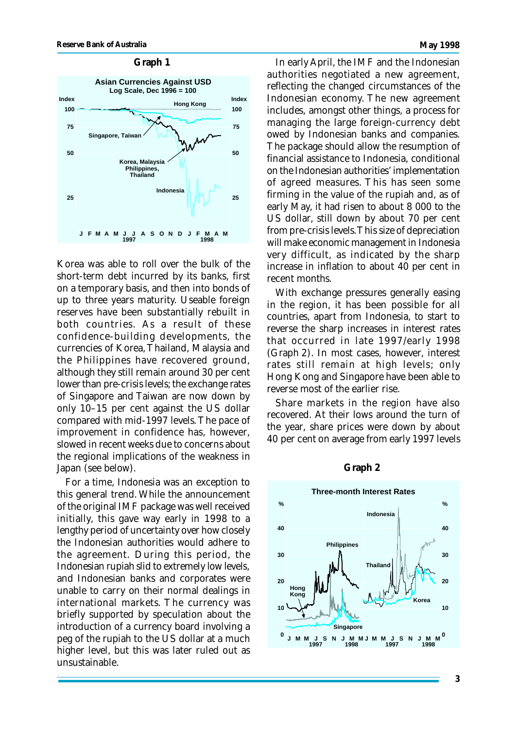

Korea was able to roll over the bulk of the short-term debt incurred by its banks, first on a temporary basis, and then into bonds of up to three years maturity. Useable foreign reserves have been substantially rebuilt in both countries. As a result of these confidence-building developments, the currencies of Korea, Thailand, Malaysia and the Philippines have recovered ground, although they still remain around 30 per cent lower than pre-crisis levels; the exchange rates of Singapore and Taiwan are now down by only 10–15 per cent against the US dollar compared with mid-1997 levels. The pace of improvement in confidence has, however, slowed in recent weeks due to concerns about the regional implications of the weakness in Japan (see below).

For a time, Indonesia was an exception to this general trend. While the announcement of the original IMF package was well received initially, this gave way early in 1998 to a lengthy period of uncertainty over how closely the Indonesian authorities would adhere to the agreement. During this period, the Indonesian rupiah slid to extremely low levels, and Indonesian banks and corporates were unable to carry on their normal dealings in international markets. The currency was briefly supported by speculation about the introduction of a currency board involving a peg of the rupiah to the US dollar at a much higher level, but this was later ruled out as unsustainable.

In early April, the IMF and the Indonesian authorities negotiated a new agreement, reflecting the changed circumstances of the Indonesian economy. The new agreement includes, amongst other things, a process for managing the large foreign-currency debt owed by Indonesian banks and companies. The package should allow the resumption of financial assistance to Indonesia, conditional on the Indonesian authorities' implementation of agreed measures. This has seen some firming in the value of the rupiah and, as of early May, it had risen to about 8 000 to the US dollar, still down by about 70 per cent from pre-crisis levels. This size of depreciation will make economic management in Indonesia very difficult, as indicated by the sharp increase in inflation to about 40 per cent in recent months.

With exchange pressures generally easing in the region, it has been possible for all countries, apart from Indonesia, to start to reverse the sharp increases in interest rates that occurred in late 1997/early 1998 (Graph 2). In most cases, however, interest rates still remain at high levels; only Hong Kong and Singapore have been able to reverse most of the earlier rise.

Share markets in the region have also recovered. At their lows around the turn of the year, share prices were down by about 40 per cent on average from early 1997 levels



#### **Graph 2**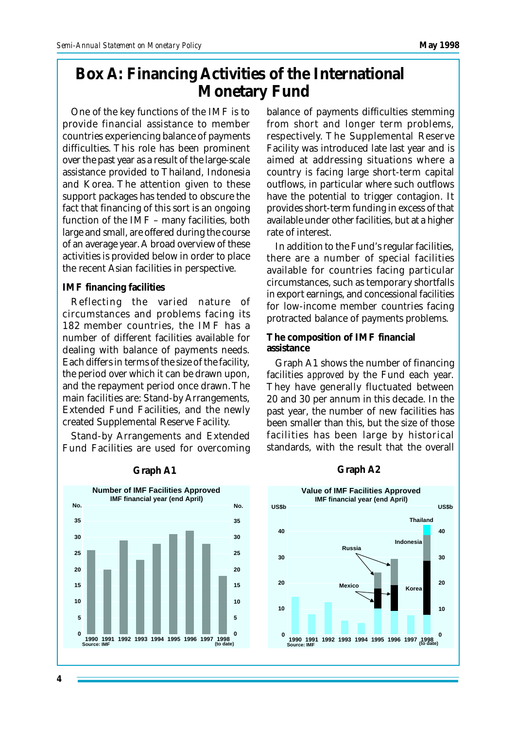## **Box A: Financing Activities of the International Monetary Fund**

One of the key functions of the IMF is to provide financial assistance to member countries experiencing balance of payments difficulties. This role has been prominent over the past year as a result of the large-scale assistance provided to Thailand, Indonesia and Korea. The attention given to these support packages has tended to obscure the fact that financing of this sort is an ongoing function of the IMF – many facilities, both large and small, are offered during the course of an average year. A broad overview of these activities is provided below in order to place the recent Asian facilities in perspective.

#### **IMF financing facilities**

Reflecting the varied nature of circumstances and problems facing its 182 member countries, the IMF has a number of different facilities available for dealing with balance of payments needs. Each differs in terms of the size of the facility, the period over which it can be drawn upon, and the repayment period once drawn. The main facilities are: Stand-by Arrangements, Extended Fund Facilities, and the newly created Supplemental Reserve Facility.

Stand-by Arrangements and Extended Fund Facilities are used for overcoming balance of payments difficulties stemming from short and longer term problems, respectively. The Supplemental Reserve Facility was introduced late last year and is aimed at addressing situations where a country is facing large short-term capital outflows, in particular where such outflows have the potential to trigger contagion. It provides short-term funding in excess of that available under other facilities, but at a higher rate of interest.

In addition to the Fund's regular facilities, there are a number of special facilities available for countries facing particular circumstances, such as temporary shortfalls in export earnings, and concessional facilities for low-income member countries facing protracted balance of payments problems.

#### **The composition of IMF financial assistance**

Graph A1 shows the number of financing facilities *approved* by the Fund each year. They have generally fluctuated between 20 and 30 per annum in this decade. In the past year, the number of new facilities has been smaller than this, but the size of those facilities has been large by historical standards, with the result that the overall



#### **Graph A1 Graph A2**

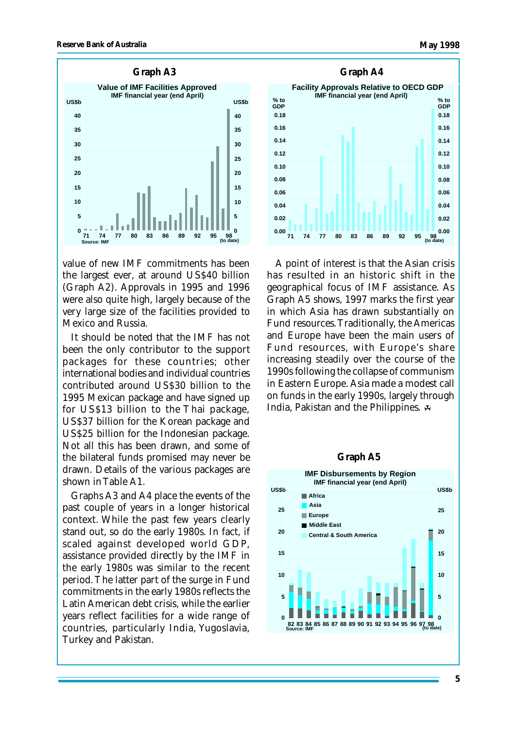

value of new IMF commitments has been the largest ever, at around US\$40 billion (Graph A2). Approvals in 1995 and 1996 were also quite high, largely because of the very large size of the facilities provided to Mexico and Russia.

It should be noted that the IMF has not been the only contributor to the support packages for these countries; other international bodies and individual countries contributed around US\$30 billion to the 1995 Mexican package and have signed up for US\$13 billion to the Thai package, US\$37 billion for the Korean package and US\$25 billion for the Indonesian package. Not all this has been drawn, and some of the bilateral funds promised may never be drawn. Details of the various packages are shown in Table A1.

Graphs A3 and A4 place the events of the past couple of years in a longer historical context. While the past few years clearly stand out, so do the early 1980s. In fact, if scaled against developed world GDP, assistance provided directly by the IMF in the early 1980s was similar to the recent period. The latter part of the surge in Fund commitments in the early 1980s reflects the Latin American debt crisis, while the earlier years reflect facilities for a wide range of countries, particularly India, Yugoslavia, Turkey and Pakistan.



A point of interest is that the Asian crisis has resulted in an historic shift in the geographical focus of IMF assistance. As Graph A5 shows, 1997 marks the first year in which Asia has drawn substantially on Fund resources. Traditionally, the Americas and Europe have been the main users of Fund resources, with Europe's share increasing steadily over the course of the 1990s following the collapse of communism in Eastern Europe. Asia made a modest call on funds in the early 1990s, largely through India, Pakistan and the Philippines.

#### **Graph A5**

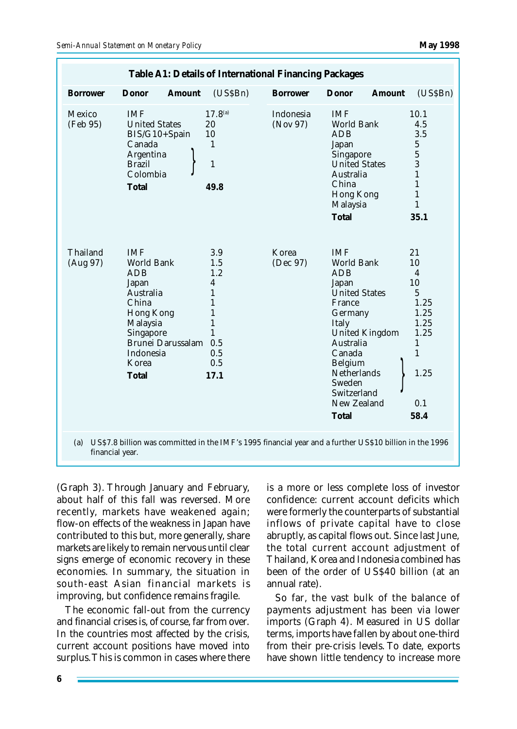| <b>Borrower</b><br>Mexico | Donor<br>Amount                                                                                                                                                        | (USSBn)                                                                                                       | <b>Borrower</b>       | Donor<br>Amount                                                                                                                                                                                                                                | (USSBn)                                                                                                         |
|---------------------------|------------------------------------------------------------------------------------------------------------------------------------------------------------------------|---------------------------------------------------------------------------------------------------------------|-----------------------|------------------------------------------------------------------------------------------------------------------------------------------------------------------------------------------------------------------------------------------------|-----------------------------------------------------------------------------------------------------------------|
|                           |                                                                                                                                                                        |                                                                                                               |                       |                                                                                                                                                                                                                                                |                                                                                                                 |
| (Feb 95)                  | IMF<br><b>United States</b><br>BIS/G10+Spain<br>Canada<br>Argentina<br><b>Brazil</b><br>Colombia<br>Total                                                              | $17.8^{(a)}$<br>20<br>10<br>1<br>$\mathbf{1}$<br>49.8                                                         | Indonesia<br>(Nov 97) | <b>IMF</b><br><b>World Bank</b><br><b>ADB</b><br>Japan<br>Singapore<br><b>United States</b><br><b>Australia</b><br>China<br>Hong Kong<br>Malaysia<br>Total                                                                                     | 10.1<br>4.5<br>3.5<br>5<br>$\mathbf 5$<br>3<br>1<br>$\mathbf{1}$<br>$\mathbf{1}$<br>$\mathbf{1}$<br>35.1        |
| Thailand<br>(Aug 97)      | <b>IMF</b><br>World Bank<br><b>ADB</b><br>Japan<br>Australia<br>China<br><b>Hong Kong</b><br>Malaysia<br>Singapore<br>Brunei Darussalam<br>Indonesia<br>Korea<br>Total | 3.9<br>1.5<br>1.2<br>4<br>$\mathbf{1}$<br>1<br>1<br>$\mathbf{1}$<br>$\mathbf{1}$<br>0.5<br>0.5<br>0.5<br>17.1 | Korea<br>(Dec 97)     | <b>IMF</b><br>World Bank<br><b>ADB</b><br>Japan<br><b>United States</b><br>France<br>Germany<br>Italy<br><b>United Kingdom</b><br>Australia<br>Canada<br><b>Belgium</b><br><b>Netherlands</b><br>Sweden<br>Switzerland<br>New Zealand<br>Total | 21<br>10<br>4<br>10<br>5<br>1.25<br>1.25<br>1.25<br>1.25<br>$\mathbf{1}$<br>$\mathbf{1}$<br>1.25<br>0.1<br>58.4 |

(Graph 3). Through January and February, about half of this fall was reversed. More recently, markets have weakened again; flow-on effects of the weakness in Japan have contributed to this but, more generally, share markets are likely to remain nervous until clear signs emerge of economic recovery in these economies. In summary, the situation in south-east Asian financial markets is improving, but confidence remains fragile.

The economic fall-out from the currency and financial crises is, of course, far from over. In the countries most affected by the crisis, current account positions have moved into surplus. This is common in cases where there

is a more or less complete loss of investor confidence: current account deficits which were formerly the counterparts of substantial inflows of private capital have to close abruptly, as capital flows out. Since last June, the total current account adjustment of Thailand, Korea and Indonesia combined has been of the order of US\$40 billion (at an annual rate).

So far, the vast bulk of the balance of payments adjustment has been via lower imports (Graph 4). Measured in US dollar terms, imports have fallen by about one-third from their pre-crisis levels. To date, exports have shown little tendency to increase more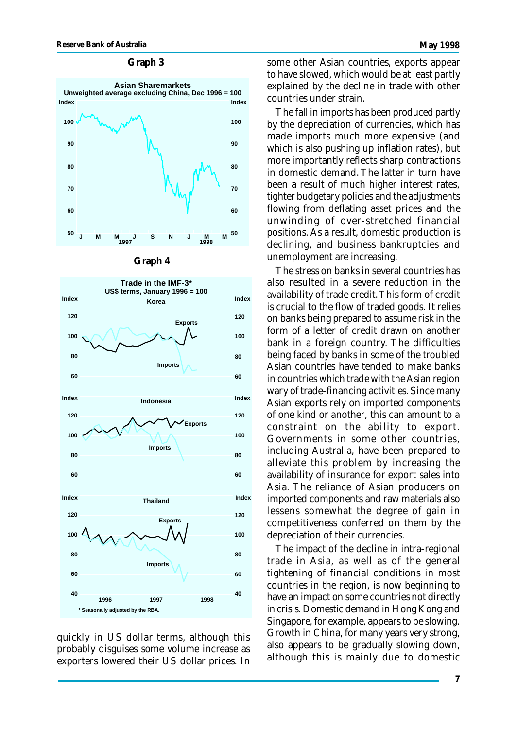#### **Graph 3**







quickly in US dollar terms, although this probably disguises some volume increase as exporters lowered their US dollar prices. In some other Asian countries, exports appear to have slowed, which would be at least partly explained by the decline in trade with other countries under strain.

The fall in imports has been produced partly by the depreciation of currencies, which has made imports much more expensive (and which is also pushing up inflation rates), but more importantly reflects sharp contractions in domestic demand. The latter in turn have been a result of much higher interest rates, tighter budgetary policies and the adjustments flowing from deflating asset prices and the unwinding of over-stretched financial positions. As a result, domestic production is declining, and business bankruptcies and unemployment are increasing.

The stress on banks in several countries has also resulted in a severe reduction in the availability of trade credit. This form of credit is crucial to the flow of traded goods. It relies on banks being prepared to assume risk in the form of a letter of credit drawn on another bank in a foreign country. The difficulties being faced by banks in some of the troubled Asian countries have tended to make banks in countries which trade with the Asian region wary of trade-financing activities. Since many Asian exports rely on imported components of one kind or another, this can amount to a constraint on the ability to export. Governments in some other countries, including Australia, have been prepared to alleviate this problem by increasing the availability of insurance for export sales into Asia. The reliance of Asian producers on imported components and raw materials also lessens somewhat the degree of gain in competitiveness conferred on them by the depreciation of their currencies.

The impact of the decline in intra-regional trade in Asia, as well as of the general tightening of financial conditions in most countries in the region, is now beginning to have an impact on some countries not directly in crisis. Domestic demand in Hong Kong and Singapore, for example, appears to be slowing. Growth in China, for many years very strong, also appears to be gradually slowing down, although this is mainly due to domestic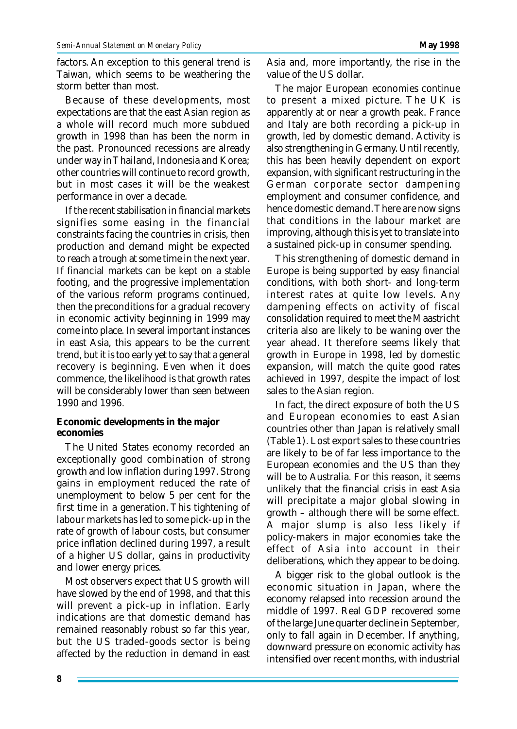factors. An exception to this general trend is Taiwan, which seems to be weathering the storm better than most.

Because of these developments, most expectations are that the east Asian region as a whole will record much more subdued growth in 1998 than has been the norm in the past. Pronounced recessions are already under way in Thailand, Indonesia and Korea; other countries will continue to record growth, but in most cases it will be the weakest performance in over a decade.

If the recent stabilisation in financial markets signifies some easing in the financial constraints facing the countries in crisis, then production and demand might be expected to reach a trough at some time in the next year. If financial markets can be kept on a stable footing, and the progressive implementation of the various reform programs continued, then the preconditions for a gradual recovery in economic activity beginning in 1999 may come into place. In several important instances in east Asia, this appears to be the current trend, but it is too early yet to say that a general recovery is beginning. Even when it does commence, the likelihood is that growth rates will be considerably lower than seen between 1990 and 1996.

#### **Economic developments in the major economies**

The United States economy recorded an exceptionally good combination of strong growth and low inflation during 1997. Strong gains in employment reduced the rate of unemployment to below 5 per cent for the first time in a generation. This tightening of labour markets has led to some pick-up in the rate of growth of labour costs, but consumer price inflation declined during 1997, a result of a higher US dollar, gains in productivity and lower energy prices.

Most observers expect that US growth will have slowed by the end of 1998, and that this will prevent a pick-up in inflation. Early indications are that domestic demand has remained reasonably robust so far this year, but the US traded-goods sector is being affected by the reduction in demand in east

Asia and, more importantly, the rise in the value of the US dollar.

The major European economies continue to present a mixed picture. The UK is apparently at or near a growth peak. France and Italy are both recording a pick-up in growth, led by domestic demand. Activity is also strengthening in Germany. Until recently, this has been heavily dependent on export expansion, with significant restructuring in the German corporate sector dampening employment and consumer confidence, and hence domestic demand. There are now signs that conditions in the labour market are improving, although this is yet to translate into a sustained pick-up in consumer spending.

This strengthening of domestic demand in Europe is being supported by easy financial conditions, with both short- and long-term interest rates at quite low levels. Any dampening effects on activity of fiscal consolidation required to meet the Maastricht criteria also are likely to be waning over the year ahead. It therefore seems likely that growth in Europe in 1998, led by domestic expansion, will match the quite good rates achieved in 1997, despite the impact of lost sales to the Asian region.

In fact, the direct exposure of both the US and European economies to east Asian countries other than Japan is relatively small (Table 1). Lost export sales to these countries are likely to be of far less importance to the European economies and the US than they will be to Australia. For this reason, it seems unlikely that the financial crisis in east Asia will precipitate a major global slowing in growth – although there will be some effect. A major slump is also less likely if policy-makers in major economies take the effect of Asia into account in their deliberations, which they appear to be doing.

A bigger risk to the global outlook is the economic situation in Japan, where the economy relapsed into recession around the middle of 1997. Real GDP recovered some of the large June quarter decline in September, only to fall again in December. If anything, downward pressure on economic activity has intensified over recent months, with industrial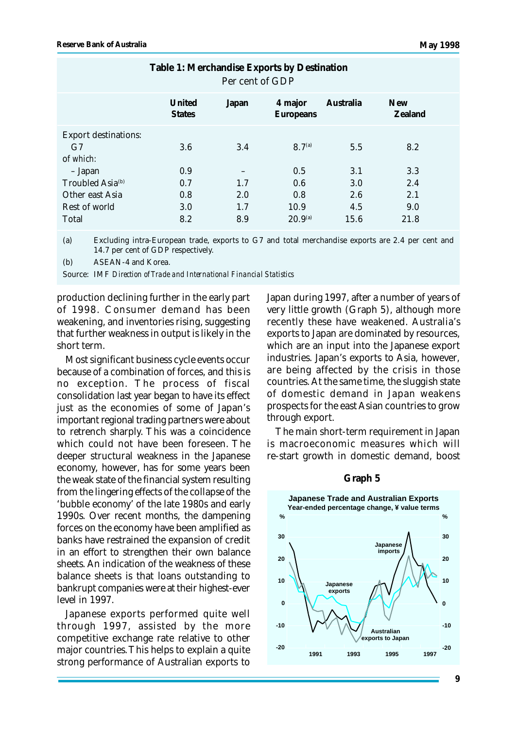| $1000$ $\ldots$ $1000$ $\ldots$ $1000$ $\ldots$ $1000$ $\ldots$ $1000$<br>Per cent of GDP |                         |            |                           |                   |                       |  |  |
|-------------------------------------------------------------------------------------------|-------------------------|------------|---------------------------|-------------------|-----------------------|--|--|
|                                                                                           | United<br><b>States</b> | Japan      | 4 major<br>Europeans      | Australia         | <b>New</b><br>Zealand |  |  |
| <b>Export destinations:</b><br>G7<br>of which:<br>- Japan<br>Troubled Asia <sup>(b)</sup> | 3.6<br>0.9<br>0.7       | 3.4<br>1.7 | $8.7^{(a)}$<br>0.5<br>0.6 | 5.5<br>3.1<br>3.0 | 8.2<br>3.3<br>2.4     |  |  |
| Other east Asia                                                                           | 0.8                     | 2.0        | 0.8                       | 2.6               | 2.1                   |  |  |
| Rest of world                                                                             | 3.0                     | 1.7        | 10.9                      | 4.5               | 9.0                   |  |  |
| Total                                                                                     | 8.2                     | 8.9        | $20.9^{(a)}$              | 15.6              | 21.8                  |  |  |

**Table 1: Merchandise Exports by Destination**

(a) Excluding intra-European trade, exports to G7 and total merchandise exports are 2.4 per cent and 14.7 per cent of GDP respectively.

(b) ASEAN-4 and Korea.

Source: IMF *Direction of Trade and International Financial Statistics*

production declining further in the early part of 1998. Consumer demand has been weakening, and inventories rising, suggesting that further weakness in output is likely in the short term.

Most significant business cycle events occur because of a combination of forces, and this is no exception. The process of fiscal consolidation last year began to have its effect just as the economies of some of Japan's important regional trading partners were about to retrench sharply. This was a coincidence which could not have been foreseen. The deeper structural weakness in the Japanese economy, however, has for some years been the weak state of the financial system resulting from the lingering effects of the collapse of the 'bubble economy' of the late 1980s and early 1990s. Over recent months, the dampening forces on the economy have been amplified as banks have restrained the expansion of credit in an effort to strengthen their own balance sheets. An indication of the weakness of these balance sheets is that loans outstanding to bankrupt companies were at their highest-ever level in 1997.

Japanese exports performed quite well through 1997, assisted by the more competitive exchange rate relative to other major countries. This helps to explain a quite strong performance of Australian exports to

Japan during 1997, after a number of years of very little growth (Graph 5), although more recently these have weakened. Australia's exports to Japan are dominated by resources, which are an input into the Japanese export industries. Japan's exports to Asia, however, are being affected by the crisis in those countries. At the same time, the sluggish state of domestic demand in Japan weakens prospects for the east Asian countries to grow through export.

The main short-term requirement in Japan is macroeconomic measures which will re-start growth in domestic demand, boost



#### **Graph 5**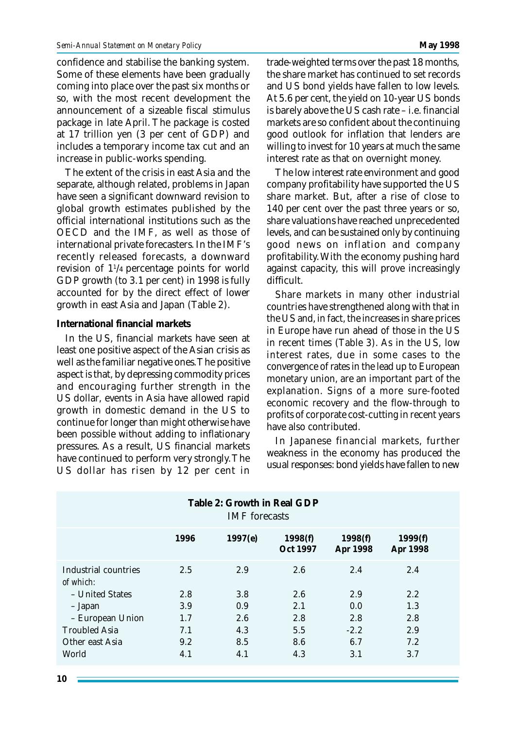confidence and stabilise the banking system. Some of these elements have been gradually coming into place over the past six months or so, with the most recent development the announcement of a sizeable fiscal stimulus package in late April. The package is costed at 17 trillion yen (3 per cent of GDP) and includes a temporary income tax cut and an increase in public-works spending.

The extent of the crisis in east Asia and the separate, although related, problems in Japan have seen a significant downward revision to global growth estimates published by the official international institutions such as the OECD and the IMF, as well as those of international private forecasters. In the IMF's recently released forecasts, a downward revision of 1<sup>1</sup> /4 percentage points for world GDP growth (to 3.1 per cent) in 1998 is fully accounted for by the direct effect of lower growth in east Asia and Japan (Table 2).

#### **International financial markets**

In the US, financial markets have seen at least one positive aspect of the Asian crisis as well as the familiar negative ones. The positive aspect is that, by depressing commodity prices and encouraging further strength in the US dollar, events in Asia have allowed rapid growth in domestic demand in the US to continue for longer than might otherwise have been possible without adding to inflationary pressures. As a result, US financial markets have continued to perform very strongly. The US dollar has risen by 12 per cent in trade-weighted terms over the past 18 months, the share market has continued to set records and US bond yields have fallen to low levels. At 5.6 per cent, the yield on 10-year US bonds is barely above the US cash rate – i.e. financial markets are so confident about the continuing good outlook for inflation that lenders are willing to invest for 10 years at much the same interest rate as that on overnight money.

The low interest rate environment and good company profitability have supported the US share market. But, after a rise of close to 140 per cent over the past three years or so, share valuations have reached unprecedented levels, and can be sustained only by continuing good news on inflation and company profitability. With the economy pushing hard against capacity, this will prove increasingly difficult.

Share markets in many other industrial countries have strengthened along with that in the US and, in fact, the increases in share prices in Europe have run ahead of those in the US in recent times (Table 3). As in the US, low interest rates, due in some cases to the convergence of rates in the lead up to European monetary union, are an important part of the explanation. Signs of a more sure-footed economic recovery and the flow-through to profits of corporate cost-cutting in recent years have also contributed.

In Japanese financial markets, further weakness in the economy has produced the usual responses: bond yields have fallen to new

| Table 2: Growth in Real GDP<br><b>IMF</b> forecasts |      |         |                     |                     |                     |  |  |
|-----------------------------------------------------|------|---------|---------------------|---------------------|---------------------|--|--|
|                                                     | 1996 | 1997(e) | 1998(f)<br>Oct 1997 | 1998(f)<br>Apr 1998 | 1999(f)<br>Apr 1998 |  |  |
| Industrial countries<br>of which:                   | 2.5  | 2.9     | 2.6                 | 2.4                 | 2.4                 |  |  |
| - United States                                     | 2.8  | 3.8     | 2.6                 | 2.9                 | 2.2                 |  |  |
| - Japan                                             | 3.9  | 0.9     | 2.1                 | 0.0                 | 1.3                 |  |  |
| - European Union                                    | 1.7  | 2.6     | 2.8                 | 2.8                 | 2.8                 |  |  |
| <b>Troubled Asia</b>                                | 7.1  | 4.3     | 5.5                 | $-2.2$              | 2.9                 |  |  |
| Other east Asia                                     | 9.2  | 8.5     | 8.6                 | 6.7                 | 7.2                 |  |  |
| World                                               | 4.1  | 4.1     | 4.3                 | 3.1                 | 3.7                 |  |  |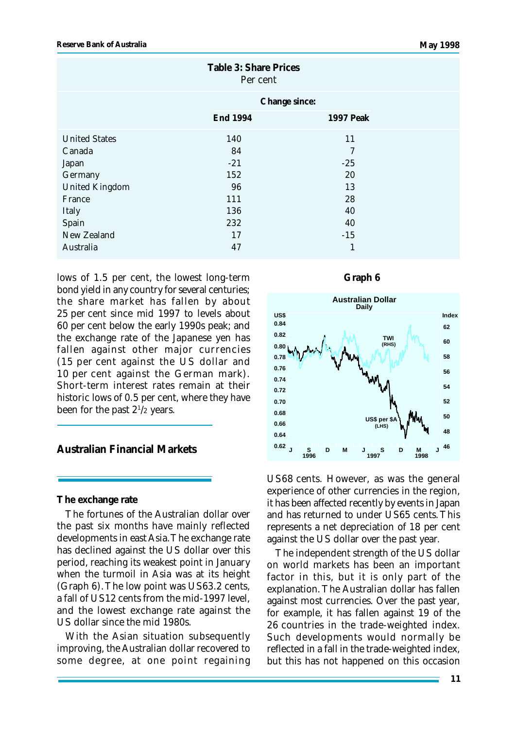| <b>Table 3: Share Prices</b><br>Per cent |                 |                  |  |  |  |
|------------------------------------------|-----------------|------------------|--|--|--|
|                                          | Change since:   |                  |  |  |  |
|                                          | <b>End 1994</b> | <b>1997 Peak</b> |  |  |  |
| <b>United States</b>                     | 140             | 11               |  |  |  |
| Canada                                   | 84              | 7                |  |  |  |
| Japan                                    | $-21$           | $-25$            |  |  |  |
| Germany                                  | 152             | 20               |  |  |  |
| <b>United Kingdom</b>                    | 96              | 13               |  |  |  |
| France                                   | 111             | 28               |  |  |  |
| <b>Italy</b>                             | 136             | 40               |  |  |  |
| Spain                                    | 232             | 40               |  |  |  |
| New Zealand                              | 17              | $-15$            |  |  |  |
| Australia                                | 47              | 1                |  |  |  |

lows of 1.5 per cent, the lowest long-term bond yield in any country for several centuries; the share market has fallen by about 25 per cent since mid 1997 to levels about 60 per cent below the early 1990s peak; and the exchange rate of the Japanese yen has fallen against other major currencies (15 per cent against the US dollar and 10 per cent against the German mark). Short-term interest rates remain at their historic lows of 0.5 per cent, where they have been for the past  $2^{1/2}$  years.

**Australian Financial Markets**

**The exchange rate**

The fortunes of the Australian dollar over the past six months have mainly reflected developments in east Asia. The exchange rate has declined against the US dollar over this period, reaching its weakest point in January when the turmoil in Asia was at its height (Graph 6). The low point was US63.2 cents, a fall of US12 cents from the mid-1997 level, and the lowest exchange rate against the US dollar since the mid 1980s.

With the Asian situation subsequently improving, the Australian dollar recovered to some degree, at one point regaining





US68 cents. However, as was the general experience of other currencies in the region, it has been affected recently by events in Japan and has returned to under US65 cents. This represents a net depreciation of 18 per cent against the US dollar over the past year.

The independent strength of the US dollar on world markets has been an important factor in this, but it is only part of the explanation. The Australian dollar has fallen against most currencies. Over the past year, for example, it has fallen against 19 of the 26 countries in the trade-weighted index. Such developments would normally be reflected in a fall in the trade-weighted index, but this has not happened on this occasion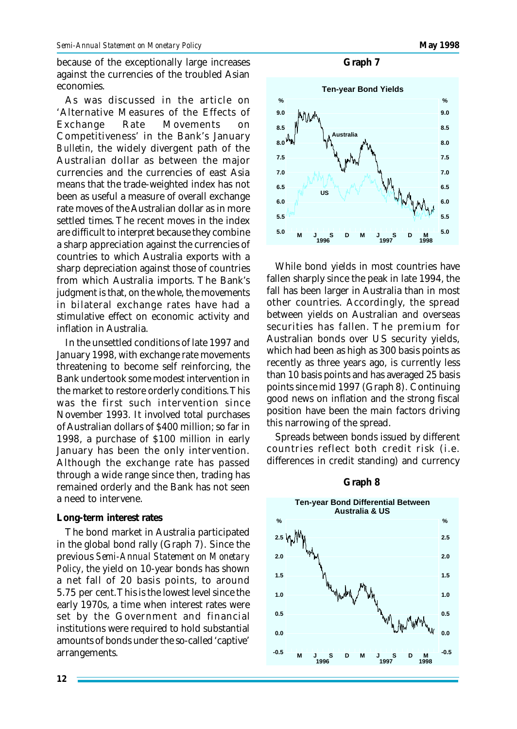because of the exceptionally large increases against the currencies of the troubled Asian economies.

As was discussed in the article on 'Alternative Measures of the Effects of Exchange Rate Movements on Competitiveness' in the Bank's January *Bulletin*, the widely divergent path of the Australian dollar as between the major currencies and the currencies of east Asia means that the trade-weighted index has not been as useful a measure of overall exchange rate moves of the Australian dollar as in more settled times. The recent moves in the index are difficult to interpret because they combine a sharp appreciation against the currencies of countries to which Australia exports with a sharp depreciation against those of countries from which Australia imports. The Bank's judgment is that, on the whole, the movements in bilateral exchange rates have had a stimulative effect on economic activity and inflation in Australia.

In the unsettled conditions of late 1997 and January 1998, with exchange rate movements threatening to become self reinforcing, the Bank undertook some modest intervention in the market to restore orderly conditions. This was the first such intervention since November 1993. It involved total purchases of Australian dollars of \$400 million; so far in 1998, a purchase of \$100 million in early January has been the only intervention. Although the exchange rate has passed through a wide range since then, trading has remained orderly and the Bank has not seen a need to intervene.

#### **Long-term interest rates**

The bond market in Australia participated in the global bond rally (Graph 7). Since the previous *Semi-Annual Statement on Monetary Policy*, the yield on 10-year bonds has shown a net fall of 20 basis points, to around 5.75 per cent. This is the lowest level since the early 1970s, a time when interest rates were set by the Government and financial institutions were required to hold substantial amounts of bonds under the so-called 'captive' arrangements.





While bond yields in most countries have fallen sharply since the peak in late 1994, the fall has been larger in Australia than in most other countries. Accordingly, the spread between yields on Australian and overseas securities has fallen. The premium for Australian bonds over US security yields, which had been as high as 300 basis points as recently as three years ago, is currently less than 10 basis points and has averaged 25 basis points since mid 1997 (Graph 8). Continuing good news on inflation and the strong fiscal position have been the main factors driving this narrowing of the spread.

Spreads between bonds issued by different countries reflect both credit risk (i.e. differences in credit standing) and currency



**Graph 8**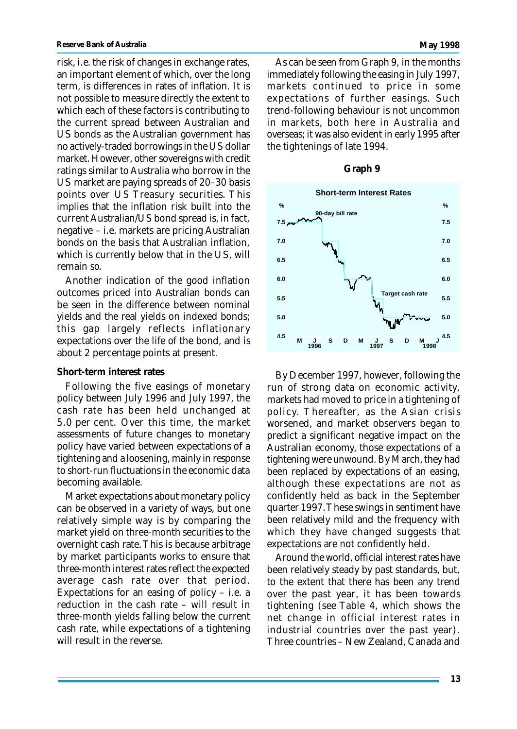risk, i.e. the risk of changes in exchange rates, an important element of which, over the long term, is differences in rates of inflation. It is not possible to measure directly the extent to which each of these factors is contributing to the current spread between Australian and US bonds as the Australian government has no actively-traded borrowings in the US dollar market. However, other sovereigns with credit ratings similar to Australia who borrow in the US market are paying spreads of 20–30 basis points over US Treasury securities. This implies that the inflation risk built into the current Australian/US bond spread is, in fact, negative – i.e. markets are pricing Australian bonds on the basis that Australian inflation, which is currently below that in the US, will

Another indication of the good inflation outcomes priced into Australian bonds can be seen in the difference between nominal yields and the real yields on indexed bonds; this gap largely reflects inflationary expectations over the life of the bond, and is about 2 percentage points at present.

#### **Short-term interest rates**

remain so.

Following the five easings of monetary policy between July 1996 and July 1997, the cash rate has been held unchanged at 5.0 per cent. Over this time, the market assessments of future changes to monetary policy have varied between expectations of a tightening and a loosening, mainly in response to short-run fluctuations in the economic data becoming available.

Market expectations about monetary policy can be observed in a variety of ways, but one relatively simple way is by comparing the market yield on three-month securities to the overnight cash rate. This is because arbitrage by market participants works to ensure that three-month interest rates reflect the expected average cash rate over that period. Expectations for an easing of policy  $-$  i.e. a reduction in the cash rate – will result in three-month yields falling below the current cash rate, while expectations of a tightening will result in the reverse.

As can be seen from Graph 9, in the months immediately following the easing in July 1997, markets continued to price in some expectations of further easings. Such trend-following behaviour is not uncommon in markets, both here in Australia and overseas; it was also evident in early 1995 after the tightenings of late 1994.

#### **Graph 9**



By December 1997, however, following the run of strong data on economic activity, markets had moved to price in a tightening of policy. Thereafter, as the Asian crisis worsened, and market observers began to predict a significant negative impact on the Australian economy, those expectations of a tightening were unwound. By March, they had been replaced by expectations of an easing, although these expectations are not as confidently held as back in the September quarter 1997. These swings in sentiment have been relatively mild and the frequency with which they have changed suggests that expectations are not confidently held.

Around the world, official interest rates have been relatively steady by past standards, but, to the extent that there has been any trend over the past year, it has been towards tightening (see Table 4, which shows the net change in official interest rates in industrial countries over the past year). Three countries – New Zealand, Canada and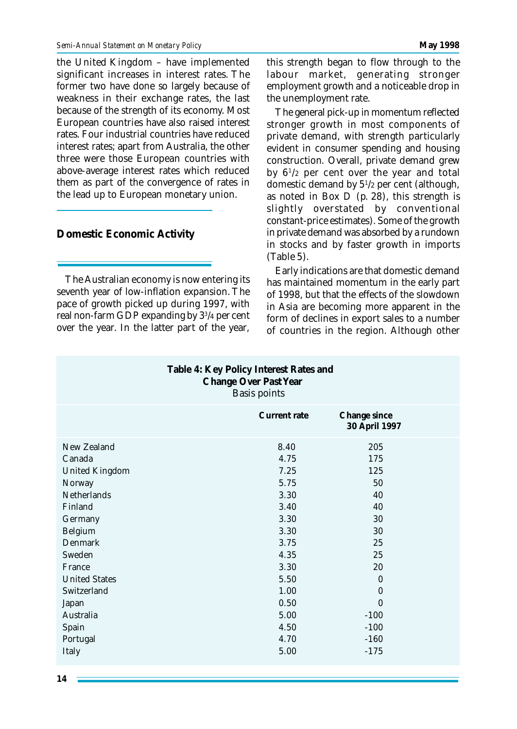the United Kingdom – have implemented significant increases in interest rates. The former two have done so largely because of weakness in their exchange rates, the last because of the strength of its economy. Most European countries have also raised interest rates. Four industrial countries have reduced interest rates; apart from Australia, the other three were those European countries with above-average interest rates which reduced them as part of the convergence of rates in the lead up to European monetary union.

### **Domestic Economic Activity**

The Australian economy is now entering its seventh year of low-inflation expansion. The pace of growth picked up during 1997, with real non-farm GDP expanding by 3<sup>3</sup> /4 per cent over the year. In the latter part of the year,

this strength began to flow through to the labour market, generating stronger employment growth and a noticeable drop in the unemployment rate.

The general pick-up in momentum reflected stronger growth in most components of private demand, with strength particularly evident in consumer spending and housing construction. Overall, private demand grew by 6<sup>1</sup> /2 per cent over the year and total domestic demand by 5<sup>1</sup> /2 per cent (although, as noted in Box  $\overline{D}$  (p. 28), this strength is slightly overstated by conventional constant-price estimates). Some of the growth in private demand was absorbed by a rundown in stocks and by faster growth in imports (Table 5).

Early indications are that domestic demand has maintained momentum in the early part of 1998, but that the effects of the slowdown in Asia are becoming more apparent in the form of declines in export sales to a number of countries in the region. Although other

| Table 4: Key Policy Interest Rates and<br><b>Change Over Past Year</b><br><b>Basis points</b> |                     |                               |  |  |  |  |  |  |
|-----------------------------------------------------------------------------------------------|---------------------|-------------------------------|--|--|--|--|--|--|
|                                                                                               | <b>Current rate</b> | Change since<br>30 April 1997 |  |  |  |  |  |  |
| New Zealand                                                                                   | 8.40                | 205                           |  |  |  |  |  |  |
| Canada                                                                                        | 4.75                | 175                           |  |  |  |  |  |  |
| <b>United Kingdom</b>                                                                         | 7.25                | 125                           |  |  |  |  |  |  |
| Norway                                                                                        | 5.75                | 50                            |  |  |  |  |  |  |
| <b>Netherlands</b>                                                                            | 3.30                | 40                            |  |  |  |  |  |  |
| Finland                                                                                       | 3.40                | 40                            |  |  |  |  |  |  |
| Germany                                                                                       | 3.30                | 30                            |  |  |  |  |  |  |
| Belgium                                                                                       | 3.30                | 30                            |  |  |  |  |  |  |
| <b>Denmark</b>                                                                                | 3.75                | 25                            |  |  |  |  |  |  |
| Sweden                                                                                        | 4.35                | 25                            |  |  |  |  |  |  |
| France                                                                                        | 3.30                | 20                            |  |  |  |  |  |  |
| <b>United States</b>                                                                          | 5.50                | $\Omega$                      |  |  |  |  |  |  |
| Switzerland                                                                                   | 1.00                | $\bf{0}$                      |  |  |  |  |  |  |
| Japan                                                                                         | 0.50                | $\theta$                      |  |  |  |  |  |  |
| Australia                                                                                     | 5.00                | $-100$                        |  |  |  |  |  |  |
| Spain                                                                                         | 4.50                | $-100$                        |  |  |  |  |  |  |
| Portugal                                                                                      | 4.70                | $-160$                        |  |  |  |  |  |  |
| <b>Italy</b>                                                                                  | 5.00                | $-175$                        |  |  |  |  |  |  |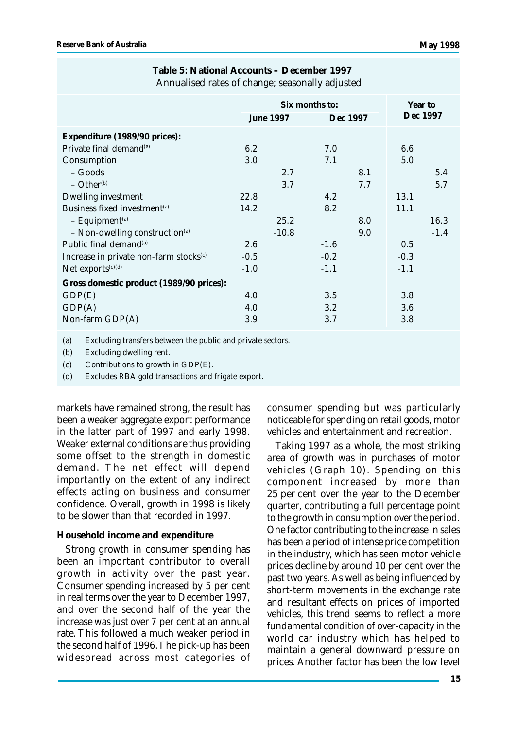|                                                    | Six months to:   |         |          |        | Year to  |  |
|----------------------------------------------------|------------------|---------|----------|--------|----------|--|
|                                                    | <b>June 1997</b> |         | Dec 1997 |        | Dec 1997 |  |
| Expenditure (1989/90 prices):                      |                  |         |          |        |          |  |
| Private final demand <sup>(a)</sup>                | 6.2              |         | 7.0      | 6.6    |          |  |
| Consumption                                        | 3.0              |         | 7.1      | 5.0    |          |  |
| – Goods                                            |                  | 2.7     | 8.1      |        | 5.4      |  |
| $-$ Other <sup>(b)</sup>                           |                  | 3.7     | 7.7      |        | 5.7      |  |
| <b>Dwelling investment</b>                         | 22.8             |         | 4.2      | 13.1   |          |  |
| Business fixed investment <sup>(a)</sup>           | 14.2             |         | 8.2      | 11.1   |          |  |
| $-$ Equipment <sup>(a)</sup>                       |                  | 25.2    | 8.0      |        | 16.3     |  |
| $-$ Non-dwelling construction <sup>(a)</sup>       |                  | $-10.8$ | 9.0      |        | $-1.4$   |  |
| Public final demand <sup>(a)</sup>                 | 2.6              | $-1.6$  |          | 0.5    |          |  |
| Increase in private non-farm stocks <sup>(c)</sup> | $-0.5$           | $-0.2$  |          | $-0.3$ |          |  |
| Net exports $(c)(d)$                               | $-1.0$           | $-1.1$  |          | $-1.1$ |          |  |
| Gross domestic product (1989/90 prices):           |                  |         |          |        |          |  |
| GDP(E)                                             | 4.0              |         | 3.5      | 3.8    |          |  |
| GDP(A)                                             | 4.0              |         | $3.2\,$  | 3.6    |          |  |
| Non-farm GDP(A)                                    | 3.9              |         | 3.7      | 3.8    |          |  |
|                                                    |                  |         |          |        |          |  |

#### **Table 5: National Accounts – December 1997** Annualised rates of change; seasonally adjusted

(a) Excluding transfers between the public and private sectors.

(b) Excluding dwelling rent.

 $(c)$  Contributions to growth in GDP $(E)$ .

(d) Excludes RBA gold transactions and frigate export.

markets have remained strong, the result has been a weaker aggregate export performance in the latter part of 1997 and early 1998. Weaker external conditions are thus providing some offset to the strength in domestic demand. The net effect will depend importantly on the extent of any indirect effects acting on business and consumer confidence. Overall, growth in 1998 is likely to be slower than that recorded in 1997.

#### **Household income and expenditure**

Strong growth in consumer spending has been an important contributor to overall growth in activity over the past year. Consumer spending increased by 5 per cent in real terms over the year to December 1997, and over the second half of the year the increase was just over 7 per cent at an annual rate. This followed a much weaker period in the second half of 1996. The pick-up has been widespread across most categories of consumer spending but was particularly noticeable for spending on retail goods, motor vehicles and entertainment and recreation.

Taking 1997 as a whole, the most striking area of growth was in purchases of motor vehicles (Graph 10). Spending on this component increased by more than 25 per cent over the year to the December quarter, contributing a full percentage point to the growth in consumption over the period. One factor contributing to the increase in sales has been a period of intense price competition in the industry, which has seen motor vehicle prices decline by around 10 per cent over the past two years. As well as being influenced by short-term movements in the exchange rate and resultant effects on prices of imported vehicles, this trend seems to reflect a more fundamental condition of over-capacity in the world car industry which has helped to maintain a general downward pressure on prices. Another factor has been the low level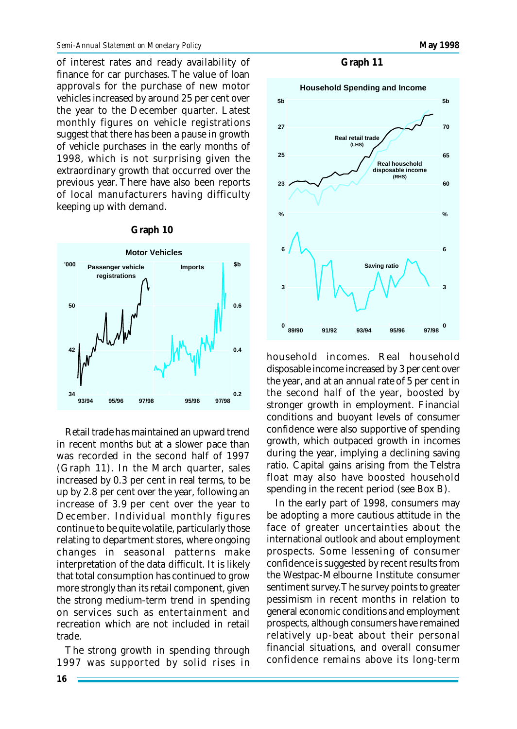of interest rates and ready availability of finance for car purchases. The value of loan approvals for the purchase of new motor vehicles increased by around 25 per cent over the year to the December quarter. Latest monthly figures on vehicle registrations suggest that there has been a pause in growth of vehicle purchases in the early months of 1998, which is not surprising given the extraordinary growth that occurred over the previous year. There have also been reports of local manufacturers having difficulty keeping up with demand.

**Graph 10**

### **Motor Vehicles 97/98 Passenger vehicle registrations '000 34 42 50 0.2 0.4 0.6 Imports \$b 97/9895/9693/94 95/96**

#### Retail trade has maintained an upward trend in recent months but at a slower pace than was recorded in the second half of 1997 (Graph 11). In the March quarter, sales increased by 0.3 per cent in real terms, to be up by 2.8 per cent over the year, following an increase of 3.9 per cent over the year to December. Individual monthly figures continue to be quite volatile, particularly those relating to department stores, where ongoing changes in seasonal patterns make interpretation of the data difficult. It is likely that total consumption has continued to grow more strongly than its retail component, given the strong medium-term trend in spending on services such as entertainment and recreation which are not included in retail trade.

The strong growth in spending through 1997 was supported by solid rises in

#### **Graph 11**



household incomes. Real household disposable income increased by 3 per cent over the year, and at an annual rate of 5 per cent in the second half of the year, boosted by stronger growth in employment. Financial conditions and buoyant levels of consumer confidence were also supportive of spending growth, which outpaced growth in incomes during the year, implying a declining saving ratio. Capital gains arising from the Telstra float may also have boosted household spending in the recent period (see Box B).

In the early part of 1998, consumers may be adopting a more cautious attitude in the face of greater uncertainties about the international outlook and about employment prospects. Some lessening of consumer confidence is suggested by recent results from the Westpac-Melbourne Institute consumer sentiment survey. The survey points to greater pessimism in recent months in relation to general economic conditions and employment prospects, although consumers have remained relatively up-beat about their personal financial situations, and overall consumer confidence remains above its long-term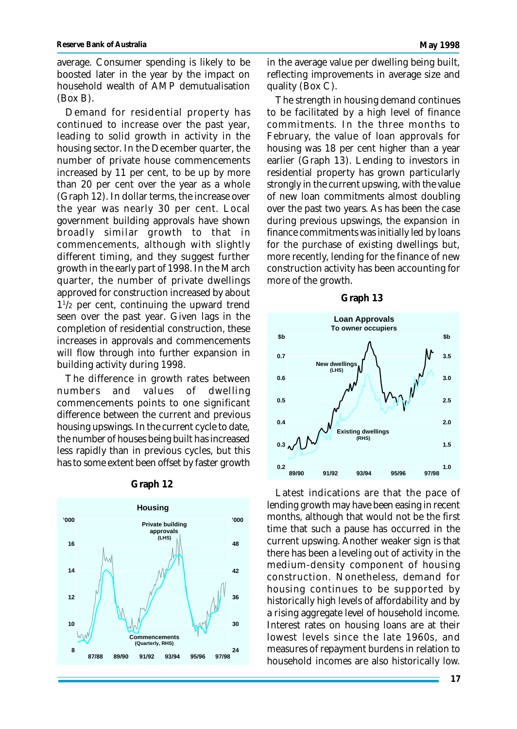average. Consumer spending is likely to be boosted later in the year by the impact on household wealth of AMP demutualisation (Box B).

Demand for residential property has continued to increase over the past year, leading to solid growth in activity in the housing sector. In the December quarter, the number of private house commencements increased by 11 per cent, to be up by more than 20 per cent over the year as a whole (Graph 12). In dollar terms, the increase over the year was nearly 30 per cent. Local government building approvals have shown broadly similar growth to that in commencements, although with slightly different timing, and they suggest further growth in the early part of 1998. In the March quarter, the number of private dwellings approved for construction increased by about 1 1 /2 per cent, continuing the upward trend seen over the past year. Given lags in the completion of residential construction, these increases in approvals and commencements will flow through into further expansion in building activity during 1998.

The difference in growth rates between numbers and values of dwelling commencements points to one significant difference between the current and previous housing upswings. In the current cycle to date, the number of houses being built has increased less rapidly than in previous cycles, but this has to some extent been offset by faster growth



#### **Graph 12**

in the average value per dwelling being built, reflecting improvements in average size and quality (Box C).

The strength in housing demand continues to be facilitated by a high level of finance commitments. In the three months to February, the value of loan approvals for housing was 18 per cent higher than a year earlier (Graph 13). Lending to investors in residential property has grown particularly strongly in the current upswing, with the value of new loan commitments almost doubling over the past two years. As has been the case during previous upswings, the expansion in finance commitments was initially led by loans for the purchase of existing dwellings but, more recently, lending for the finance of new construction activity has been accounting for more of the growth.

#### **Graph 13**



Latest indications are that the pace of lending growth may have been easing in recent months, although that would not be the first time that such a pause has occurred in the current upswing. Another weaker sign is that there has been a leveling out of activity in the medium-density component of housing construction. Nonetheless, demand for housing continues to be supported by historically high levels of affordability and by a rising aggregate level of household income. Interest rates on housing loans are at their lowest levels since the late 1960s, and measures of repayment burdens in relation to household incomes are also historically low.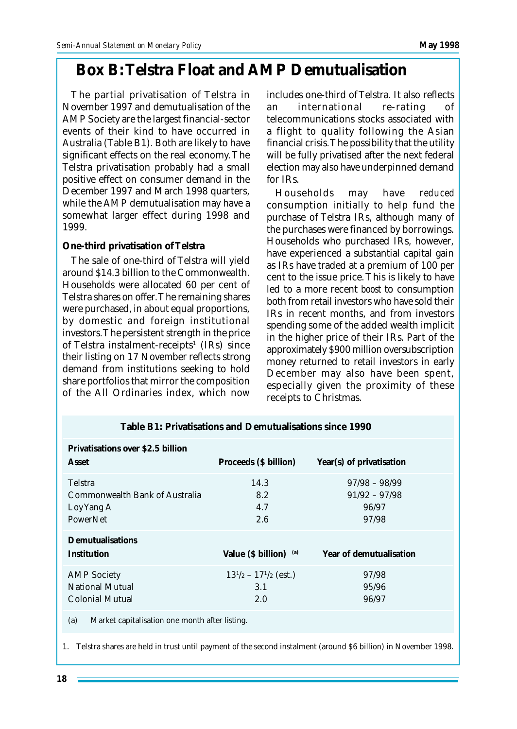## **Box B: Telstra Float and AMP Demutualisation**

The partial privatisation of Telstra in November 1997 and demutualisation of the AMP Society are the largest financial-sector events of their kind to have occurred in Australia (Table B1). Both are likely to have significant effects on the real economy. The Telstra privatisation probably had a small positive effect on consumer demand in the December 1997 and March 1998 quarters, while the AMP demutualisation may have a somewhat larger effect during 1998 and 1999.

#### **One-third privatisation of Telstra**

The sale of one-third of Telstra will yield around \$14.3 billion to the Commonwealth. Households were allocated 60 per cent of Telstra shares on offer. The remaining shares were purchased, in about equal proportions, by domestic and foreign institutional investors. The persistent strength in the price of Telstra instalment-receipts<sup>1</sup> (IRs) since their listing on 17 November reflects strong demand from institutions seeking to hold share portfolios that mirror the composition of the All Ordinaries index, which now includes one-third of Telstra. It also reflects an international re-rating of telecommunications stocks associated with a flight to quality following the Asian financial crisis. The possibility that the utility will be fully privatised after the next federal election may also have underpinned demand for IRs.

Households may have *reduced* consumption initially to help fund the purchase of Telstra IRs, although many of the purchases were financed by borrowings. Households who purchased IRs, however, have experienced a substantial capital gain as IRs have traded at a premium of 100 per cent to the issue price. This is likely to have led to a more recent *boost* to consumption both from retail investors who have sold their IRs in recent months, and from investors spending some of the added wealth implicit in the higher price of their IRs. Part of the approximately \$900 million oversubscription money returned to retail investors in early December may also have been spent, especially given the proximity of these receipts to Christmas.

| Table B1: Privatisations and Demutualisations since 1990                   |                                            |                                                      |  |  |  |  |  |
|----------------------------------------------------------------------------|--------------------------------------------|------------------------------------------------------|--|--|--|--|--|
| Privatisations over \$2.5 billion<br>Asset                                 | Proceeds (\$ billion)                      | Year(s) of privatisation                             |  |  |  |  |  |
| Telstra<br>Commonwealth Bank of Australia<br>Loy Yang A<br><b>PowerNet</b> | 14.3<br>8.2<br>4.7<br>2.6                  | $97/98 - 98/99$<br>$91/92 - 97/98$<br>96/97<br>97/98 |  |  |  |  |  |
| Demutualisations<br>Institution                                            | Value $(S$ billion) $(a)$                  | Year of demutualisation                              |  |  |  |  |  |
| <b>AMP</b> Society<br><b>National Mutual</b><br>Colonial Mutual            | $13^{1/2} - 17^{1/2}$ (est.)<br>3.1<br>2.0 | 97/98<br>95/96<br>96/97                              |  |  |  |  |  |
| (a)<br>Market capitalisation one month after listing.                      |                                            |                                                      |  |  |  |  |  |

1. Telstra shares are held in trust until payment of the second instalment (around \$6 billion) in November 1998.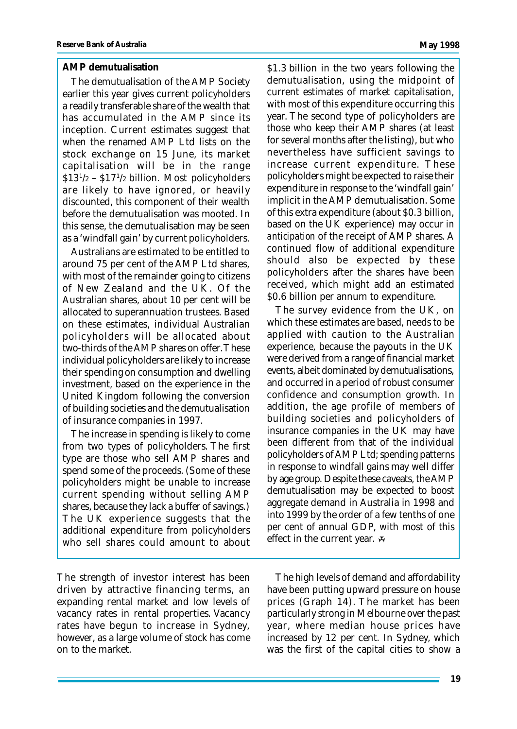#### **AMP demutualisation**

The demutualisation of the AMP Society earlier this year gives current policyholders a readily transferable share of the wealth that has accumulated in the AMP since its inception. Current estimates suggest that when the renamed AMP Ltd lists on the stock exchange on 15 June, its market capitalisation will be in the range \$13<sup>1</sup> /2 – \$17<sup>1</sup> /2 billion. Most policyholders are likely to have ignored, or heavily discounted, this component of their wealth before the demutualisation was mooted. In this sense, the demutualisation may be seen as a 'windfall gain' by current policyholders.

Australians are estimated to be entitled to around 75 per cent of the AMP Ltd shares, with most of the remainder going to citizens of New Zealand and the UK. Of the Australian shares, about 10 per cent will be allocated to superannuation trustees. Based on these estimates, individual Australian policyholders will be allocated about two-thirds of the AMP shares on offer. These individual policyholders are likely to increase their spending on consumption and dwelling investment, based on the experience in the United Kingdom following the conversion of building societies and the demutualisation of insurance companies in 1997.

The increase in spending is likely to come from two types of policyholders. The first type are those who sell AMP shares and spend some of the proceeds. (Some of these policyholders might be unable to increase current spending without selling AMP shares, because they lack a buffer of savings.) The UK experience suggests that the additional expenditure from policyholders who sell shares could amount to about

The strength of investor interest has been driven by attractive financing terms, an expanding rental market and low levels of vacancy rates in rental properties. Vacancy rates have begun to increase in Sydney, however, as a large volume of stock has come on to the market.

\$1.3 billion in the two years following the demutualisation, using the midpoint of current estimates of market capitalisation, with most of this expenditure occurring this year. The second type of policyholders are those who keep their AMP shares (at least for several months after the listing), but who nevertheless have sufficient savings to increase current expenditure. These policyholders might be expected to raise their expenditure in response to the 'windfall gain' implicit in the AMP demutualisation. Some of this extra expenditure (about \$0.3 billion, based on the UK experience) may occur *in anticipation* of the receipt of AMP shares. A continued flow of additional expenditure should also be expected by these policyholders after the shares have been received, which might add an estimated \$0.6 billion per annum to expenditure.

The survey evidence from the UK, on which these estimates are based, needs to be applied with caution to the Australian experience, because the payouts in the UK were derived from a range of financial market events, albeit dominated by demutualisations, and occurred in a period of robust consumer confidence and consumption growth. In addition, the age profile of members of building societies and policyholders of insurance companies in the UK may have been different from that of the individual policyholders of AMP Ltd; spending patterns in response to windfall gains may well differ by age group. Despite these caveats, the AMP demutualisation may be expected to boost aggregate demand in Australia in 1998 and into 1999 by the order of a few tenths of one per cent of annual GDP, with most of this effect in the current year.

The high levels of demand and affordability have been putting upward pressure on house prices (Graph 14). The market has been particularly strong in Melbourne over the past year, where median house prices have increased by 12 per cent. In Sydney, which was the first of the capital cities to show a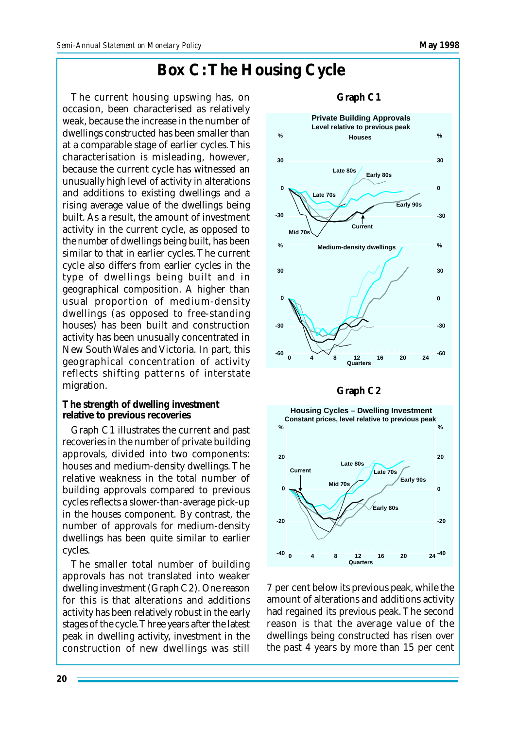### **Box C: The Housing Cycle**

The current housing upswing has, on occasion, been characterised as relatively weak, because the increase in the number of dwellings constructed has been smaller than at a comparable stage of earlier cycles. This characterisation is misleading, however, because the current cycle has witnessed an unusually high level of activity in alterations and additions to existing dwellings and a rising average value of the dwellings being built. As a result, the amount of investment activity in the current cycle, as opposed to the *number* of dwellings being built, has been similar to that in earlier cycles. The current cycle also differs from earlier cycles in the type of dwellings being built and in geographical composition. A higher than usual proportion of medium-density dwellings (as opposed to free-standing houses) has been built and construction activity has been unusually concentrated in New South Wales and Victoria. In part, this geographical concentration of activity reflects shifting patterns of interstate migration.

**The strength of dwelling investment relative to previous recoveries**

Graph C1 illustrates the current and past recoveries in the number of private building approvals, divided into two components: houses and medium-density dwellings. The relative weakness in the total number of building approvals compared to previous cycles reflects a slower-than-average pick-up in the houses component. By contrast, the number of approvals for medium-density dwellings has been quite similar to earlier cycles.

The smaller total number of building approvals has not translated into weaker dwelling investment (Graph C2). One reason for this is that alterations and additions activity has been relatively robust in the early stages of the cycle. Three years after the latest peak in dwelling activity, investment in the construction of new dwellings was still



**Graph C2**



7 per cent below its previous peak, while the amount of alterations and additions activity had regained its previous peak. The second reason is that the average value of the dwellings being constructed has risen over the past 4 years by more than 15 per cent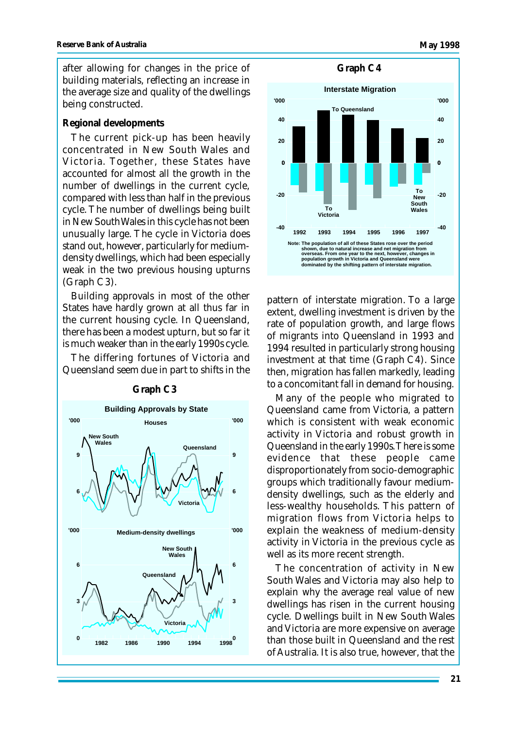after allowing for changes in the price of building materials, reflecting an increase in the average size and quality of the dwellings being constructed.

#### **Regional developments**

The current pick-up has been heavily concentrated in New South Wales and Victoria. Together, these States have accounted for almost all the growth in the number of dwellings in the current cycle, compared with less than half in the previous cycle. The number of dwellings being built in New South Wales in this cycle has not been unusually large. The cycle in Victoria does stand out, however, particularly for mediumdensity dwellings, which had been especially weak in the two previous housing upturns (Graph C3).

Building approvals in most of the other States have hardly grown at all thus far in the current housing cycle. In Queensland, there has been a modest upturn, but so far it is much weaker than in the early 1990s cycle.

The differing fortunes of Victoria and Queensland seem due in part to shifts in the



**Graph C3**



pattern of interstate migration. To a large extent, dwelling investment is driven by the rate of population growth, and large flows of migrants into Queensland in 1993 and 1994 resulted in particularly strong housing investment at that time (Graph C4). Since then, migration has fallen markedly, leading to a concomitant fall in demand for housing.

Many of the people who migrated to Queensland came from Victoria, a pattern which is consistent with weak economic activity in Victoria and robust growth in Queensland in the early 1990s. There is some evidence that these people came disproportionately from socio-demographic groups which traditionally favour mediumdensity dwellings, such as the elderly and less-wealthy households. This pattern of migration flows from Victoria helps to explain the weakness of medium-density activity in Victoria in the previous cycle as well as its more recent strength.

The concentration of activity in New South Wales and Victoria may also help to explain why the average real value of new dwellings has risen in the current housing cycle. Dwellings built in New South Wales and Victoria are more expensive on average than those built in Queensland and the rest of Australia. It is also true, however, that the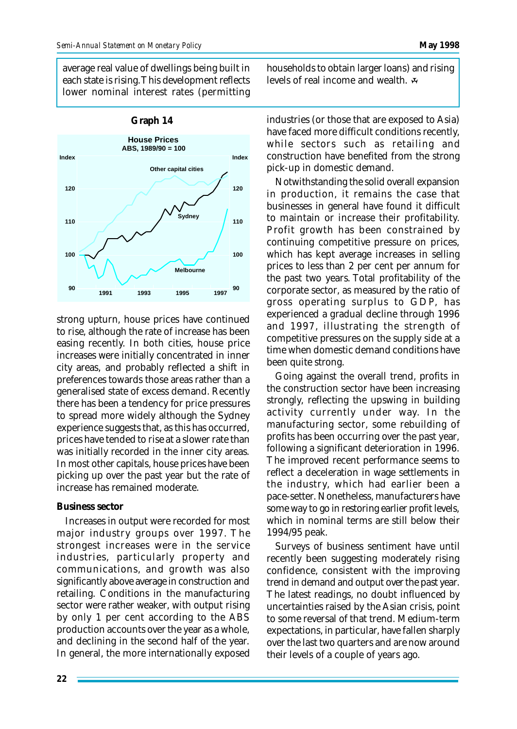average real value of dwellings being built in each state is rising. This development reflects lower nominal interest rates (permitting



strong upturn, house prices have continued to rise, although the rate of increase has been easing recently. In both cities, house price increases were initially concentrated in inner city areas, and probably reflected a shift in preferences towards those areas rather than a generalised state of excess demand. Recently there has been a tendency for price pressures to spread more widely although the Sydney experience suggests that, as this has occurred, prices have tended to rise at a slower rate than was initially recorded in the inner city areas. In most other capitals, house prices have been picking up over the past year but the rate of increase has remained moderate.

#### **Business sector**

Increases in output were recorded for most major industry groups over 1997. The strongest increases were in the service industries, particularly property and communications, and growth was also significantly above average in construction and retailing. Conditions in the manufacturing sector were rather weaker, with output rising by only 1 per cent according to the ABS production accounts over the year as a whole, and declining in the second half of the year. In general, the more internationally exposed households to obtain larger loans) and rising levels of real income and wealth.

industries (or those that are exposed to Asia) have faced more difficult conditions recently, while sectors such as retailing and construction have benefited from the strong pick-up in domestic demand.

Notwithstanding the solid overall expansion in production, it remains the case that businesses in general have found it difficult to maintain or increase their profitability. Profit growth has been constrained by continuing competitive pressure on prices, which has kept average increases in selling prices to less than 2 per cent per annum for the past two years. Total profitability of the corporate sector, as measured by the ratio of gross operating surplus to GDP, has experienced a gradual decline through 1996 and 1997, illustrating the strength of competitive pressures on the supply side at a time when domestic demand conditions have been quite strong.

Going against the overall trend, profits in the construction sector have been increasing strongly, reflecting the upswing in building activity currently under way. In the manufacturing sector, some rebuilding of profits has been occurring over the past year, following a significant deterioration in 1996. The improved recent performance seems to reflect a deceleration in wage settlements in the industry, which had earlier been a pace-setter. Nonetheless, manufacturers have some way to go in restoring earlier profit levels, which in nominal terms are still below their 1994/95 peak.

Surveys of business sentiment have until recently been suggesting moderately rising confidence, consistent with the improving trend in demand and output over the past year. The latest readings, no doubt influenced by uncertainties raised by the Asian crisis, point to some reversal of that trend. Medium-term expectations, in particular, have fallen sharply over the last two quarters and are now around their levels of a couple of years ago.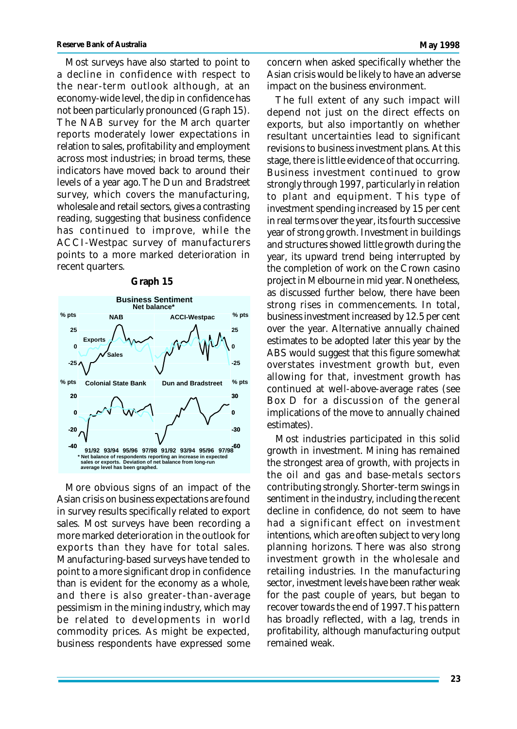Most surveys have also started to point to a decline in confidence with respect to the near-term outlook although, at an economy-wide level, the dip in confidence has not been particularly pronounced (Graph 15). The NAB survey for the March quarter reports moderately lower expectations in relation to sales, profitability and employment across most industries; in broad terms, these indicators have moved back to around their levels of a year ago. The Dun and Bradstreet survey, which covers the manufacturing, wholesale and retail sectors, gives a contrasting reading, suggesting that business confidence has continued to improve, while the ACCI-Westpac survey of manufacturers points to a more marked deterioration in recent quarters.

#### **Graph 15**



More obvious signs of an impact of the Asian crisis on business expectations are found in survey results specifically related to export sales. Most surveys have been recording a more marked deterioration in the outlook for exports than they have for total sales. Manufacturing-based surveys have tended to point to a more significant drop in confidence than is evident for the economy as a whole, and there is also greater-than-average pessimism in the mining industry, which may be related to developments in world commodity prices. As might be expected, business respondents have expressed some

concern when asked specifically whether the Asian crisis would be likely to have an adverse impact on the business environment.

The full extent of any such impact will depend not just on the direct effects on exports, but also importantly on whether resultant uncertainties lead to significant revisions to business investment plans. At this stage, there is little evidence of that occurring. Business investment continued to grow strongly through 1997, particularly in relation to plant and equipment. This type of investment spending increased by 15 per cent in real terms over the year, its fourth successive year of strong growth. Investment in buildings and structures showed little growth during the year, its upward trend being interrupted by the completion of work on the Crown casino project in Melbourne in mid year. Nonetheless, as discussed further below, there have been strong rises in commencements. In total, business investment increased by 12.5 per cent over the year. Alternative annually chained estimates to be adopted later this year by the ABS would suggest that this figure somewhat overstates investment growth but, even allowing for that, investment growth has continued at well-above-average rates (see Box D for a discussion of the general implications of the move to annually chained estimates).

Most industries participated in this solid growth in investment. Mining has remained the strongest area of growth, with projects in the oil and gas and base-metals sectors contributing strongly. Shorter-term swings in sentiment in the industry, including the recent decline in confidence, do not seem to have had a significant effect on investment intentions, which are often subject to very long planning horizons. There was also strong investment growth in the wholesale and retailing industries. In the manufacturing sector, investment levels have been rather weak for the past couple of years, but began to recover towards the end of 1997. This pattern has broadly reflected, with a lag, trends in profitability, although manufacturing output remained weak.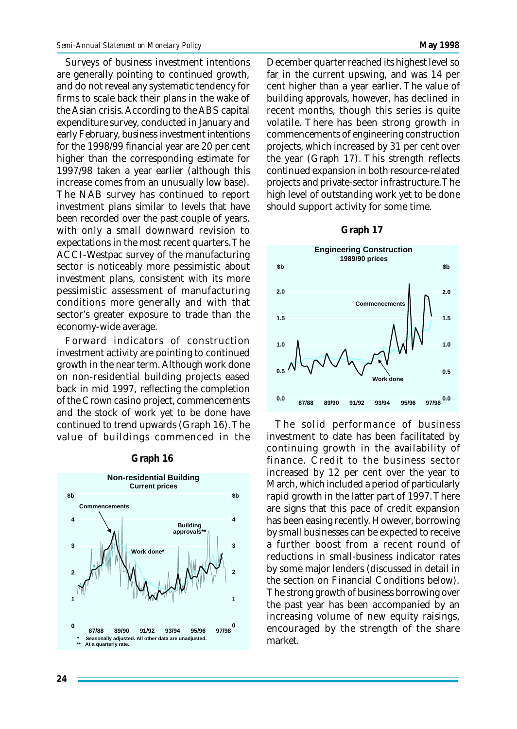Surveys of business investment intentions are generally pointing to continued growth, and do not reveal any systematic tendency for firms to scale back their plans in the wake of the Asian crisis. According to the ABS capital expenditure survey, conducted in January and early February, business investment intentions for the 1998/99 financial year are 20 per cent higher than the corresponding estimate for 1997/98 taken a year earlier (although this increase comes from an unusually low base). The NAB survey has continued to report investment plans similar to levels that have been recorded over the past couple of years, with only a small downward revision to expectations in the most recent quarters. The ACCI-Westpac survey of the manufacturing sector is noticeably more pessimistic about investment plans, consistent with its more pessimistic assessment of manufacturing conditions more generally and with that sector's greater exposure to trade than the economy-wide average.

Forward indicators of construction investment activity are pointing to continued growth in the near term. Although work done on non-residential building projects eased back in mid 1997, reflecting the completion of the Crown casino project, commencements and the stock of work yet to be done have continued to trend upwards (Graph 16). The value of buildings commenced in the

#### **Graph 16**



December quarter reached its highest level so far in the current upswing, and was 14 per cent higher than a year earlier. The value of building approvals, however, has declined in recent months, though this series is quite volatile. There has been strong growth in commencements of engineering construction projects, which increased by 31 per cent over the year (Graph 17). This strength reflects continued expansion in both resource-related projects and private-sector infrastructure. The high level of outstanding work yet to be done should support activity for some time.

#### **Graph 17**



The solid performance of business investment to date has been facilitated by continuing growth in the availability of finance. Credit to the business sector increased by 12 per cent over the year to March, which included a period of particularly rapid growth in the latter part of 1997. There are signs that this pace of credit expansion has been easing recently. However, borrowing by small businesses can be expected to receive a further boost from a recent round of reductions in small-business indicator rates by some major lenders (discussed in detail in the section on Financial Conditions below). The strong growth of business borrowing over the past year has been accompanied by an increasing volume of new equity raisings, encouraged by the strength of the share market.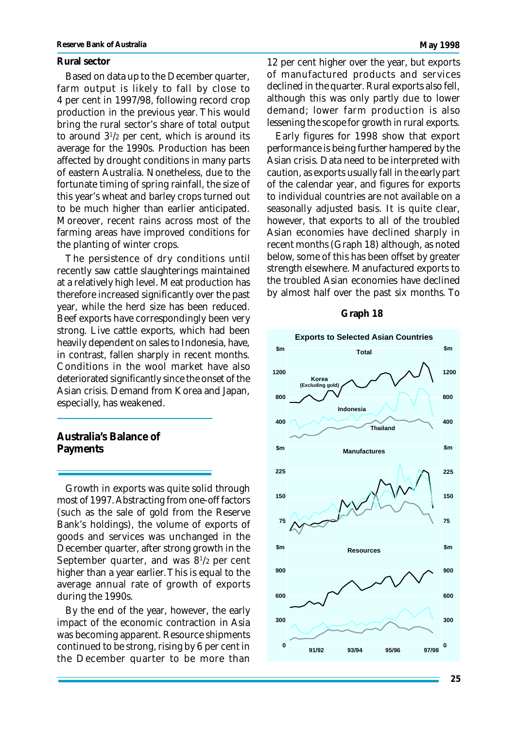#### **Rural sector**

Based on data up to the December quarter, farm output is likely to fall by close to 4 per cent in 1997/98, following record crop production in the previous year. This would bring the rural sector's share of total output to around 3<sup>1</sup> /2 per cent, which is around its average for the 1990s. Production has been affected by drought conditions in many parts of eastern Australia. Nonetheless, due to the fortunate timing of spring rainfall, the size of this year's wheat and barley crops turned out to be much higher than earlier anticipated. Moreover, recent rains across most of the farming areas have improved conditions for the planting of winter crops.

The persistence of dry conditions until recently saw cattle slaughterings maintained at a relatively high level. Meat production has therefore increased significantly over the past year, while the herd size has been reduced. Beef exports have correspondingly been very strong. Live cattle exports, which had been heavily dependent on sales to Indonesia, have, in contrast, fallen sharply in recent months. Conditions in the wool market have also deteriorated significantly since the onset of the Asian crisis. Demand from Korea and Japan, especially, has weakened.

#### **Australia's Balance of Payments**

Growth in exports was quite solid through most of 1997. Abstracting from one-off factors (such as the sale of gold from the Reserve Bank's holdings), the volume of exports of goods and services was unchanged in the December quarter, after strong growth in the September quarter, and was 8<sup>1</sup>/2 per cent higher than a year earlier. This is equal to the average annual rate of growth of exports during the 1990s.

By the end of the year, however, the early impact of the economic contraction in Asia was becoming apparent. Resource shipments continued to be strong, rising by 6 per cent in the December quarter to be more than

12 per cent higher over the year, but exports of manufactured products and services declined in the quarter. Rural exports also fell, although this was only partly due to lower demand; lower farm production is also lessening the scope for growth in rural exports.

Early figures for 1998 show that export performance is being further hampered by the Asian crisis. Data need to be interpreted with caution, as exports usually fall in the early part of the calendar year, and figures for exports to individual countries are not available on a seasonally adjusted basis. It is quite clear, however, that exports to all of the troubled Asian economies have declined sharply in recent months (Graph 18) although, as noted below, some of this has been offset by greater strength elsewhere. Manufactured exports to the troubled Asian economies have declined by almost half over the past six months. To

#### **Graph 18**

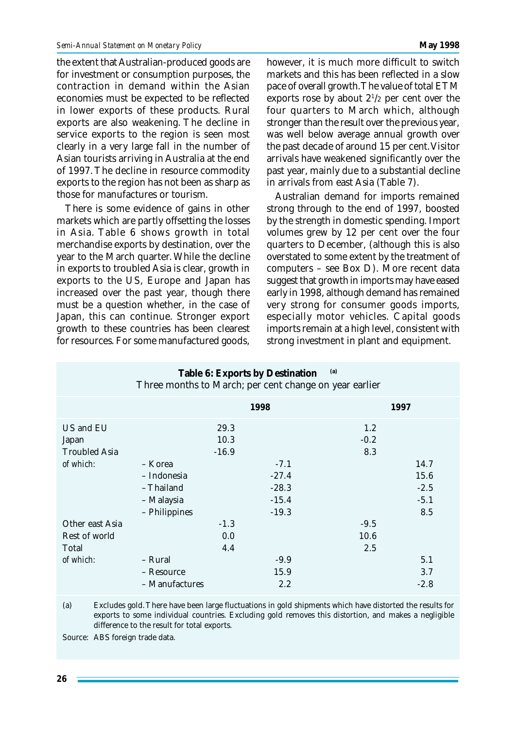the extent that Australian-produced goods are for investment or consumption purposes, the contraction in demand within the Asian economies must be expected to be reflected in lower exports of these products. Rural exports are also weakening. The decline in service exports to the region is seen most clearly in a very large fall in the number of Asian tourists arriving in Australia at the end of 1997. The decline in resource commodity exports to the region has not been as sharp as those for manufactures or tourism.

There is some evidence of gains in other markets which are partly offsetting the losses in Asia. Table 6 shows growth in total merchandise exports by destination, over the year to the March quarter. While the decline in exports to troubled Asia is clear, growth in exports to the US, Europe and Japan has increased over the past year, though there must be a question whether, in the case of Japan, this can continue. Stronger export growth to these countries has been clearest for resources. For some manufactured goods, however, it is much more difficult to switch markets and this has been reflected in a slow pace of overall growth. The value of total ETM exports rose by about  $2^{1/2}$  per cent over the four quarters to March which, although stronger than the result over the previous year, was well below average annual growth over the past decade of around 15 per cent. Visitor arrivals have weakened significantly over the past year, mainly due to a substantial decline in arrivals from east Asia (Table 7).

Australian demand for imports remained strong through to the end of 1997, boosted by the strength in domestic spending. Import volumes grew by 12 per cent over the four quarters to December, (although this is also overstated to some extent by the treatment of computers – see Box D). More recent data suggest that growth in imports may have eased early in 1998, although demand has remained very strong for consumer goods imports, especially motor vehicles. Capital goods imports remain at a high level, consistent with strong investment in plant and equipment.

| (a)<br>Table 6: Exports by Destination<br>Three months to March; per cent change on year earlier |                                                                     |                      |                                                    |                       |                                         |  |  |  |
|--------------------------------------------------------------------------------------------------|---------------------------------------------------------------------|----------------------|----------------------------------------------------|-----------------------|-----------------------------------------|--|--|--|
|                                                                                                  |                                                                     |                      | 1998                                               |                       | 1997                                    |  |  |  |
| US and EU<br>Japan                                                                               |                                                                     | 29.3<br>10.3         |                                                    | 1.2<br>$-0.2$         |                                         |  |  |  |
| <b>Troubled Asia</b><br>of which:                                                                | – Korea<br>- Indonesia<br>- Thailand<br>- Malaysia<br>- Philippines | $-16.9$              | $-7.1$<br>$-27.4$<br>$-28.3$<br>$-15.4$<br>$-19.3$ | 8.3                   | 14.7<br>15.6<br>$-2.5$<br>$-5.1$<br>8.5 |  |  |  |
| Other east Asia<br>Rest of world<br>Total<br>of which:                                           | - Rural<br>- Resource<br>- Manufactures                             | $-1.3$<br>0.0<br>4.4 | $-9.9$<br>15.9<br>2.2                              | $-9.5$<br>10.6<br>2.5 | 5.1<br>3.7<br>$-2.8$                    |  |  |  |

(a) Excludes gold. There have been large fluctuations in gold shipments which have distorted the results for exports to some individual countries. Excluding gold removes this distortion, and makes a negligible difference to the result for total exports.

Source: ABS foreign trade data.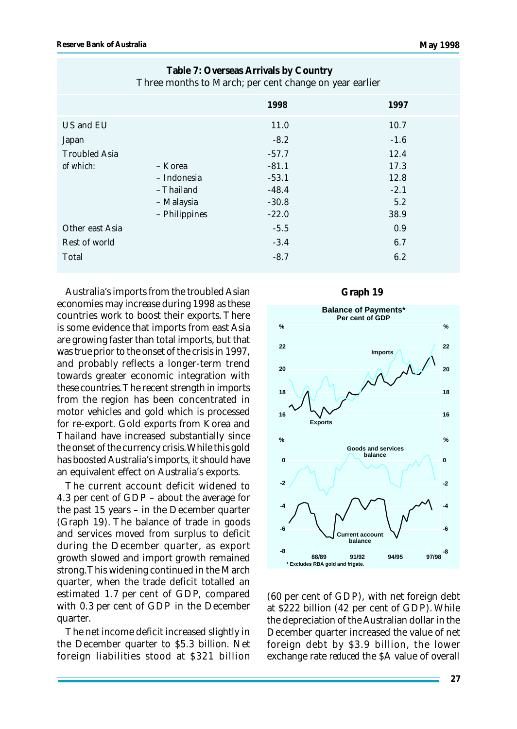| $\sim$ 1.<br>$\cdot$ | $\mathbf{J}$ |
|----------------------|--------------|
| 1998                 | 1997         |
| 11.0                 | 10.7         |
| $-8.2$               | $-1.6$       |
| $-57.7$              | 12.4         |
| $-81.1$              | 17.3         |
| $-53.1$              | 12.8         |
| $-48.4$              | $-2.1$       |
| $-30.8$              | 5.2          |
| $-22.0$              | 38.9         |
| $-5.5$               | 0.9          |
| $-3.4$               | 6.7          |
| $-8.7$               | 6.2          |
|                      |              |

**Table 7: Overseas Arrivals by Country** Three months to March; per cent change on year earlier

Australia's imports from the troubled Asian economies may increase during 1998 as these countries work to boost their exports. There is some evidence that imports from east Asia are growing faster than total imports, but that was true prior to the onset of the crisis in 1997, and probably reflects a longer-term trend towards greater economic integration with these countries. The recent strength in imports from the region has been concentrated in motor vehicles and gold which is processed for re-export. Gold exports from Korea and Thailand have increased substantially since the onset of the currency crisis. While this gold has boosted Australia's imports, it should have an equivalent effect on Australia's exports.

The current account deficit widened to 4.3 per cent of GDP – about the average for the past 15 years – in the December quarter (Graph 19). The balance of trade in goods and services moved from surplus to deficit during the December quarter, as export growth slowed and import growth remained strong. This widening continued in the March quarter, when the trade deficit totalled an estimated 1.7 per cent of GDP, compared with 0.3 per cent of GDP in the December quarter.

The net income deficit increased slightly in the December quarter to \$5.3 billion. Net foreign liabilities stood at \$321 billion





(60 per cent of GDP), with net foreign debt at \$222 billion (42 per cent of GDP). While the depreciation of the Australian dollar in the December quarter increased the value of net foreign debt by \$3.9 billion, the lower exchange rate *reduced* the \$A value of overall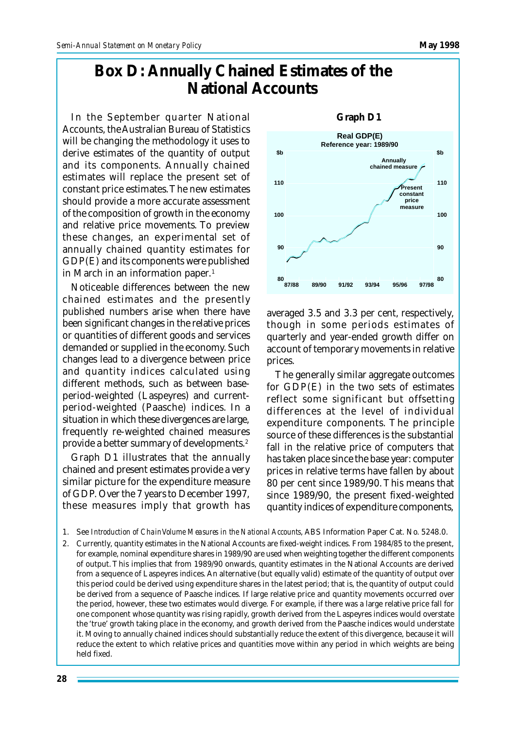### **Box D: Annually Chained Estimates of the National Accounts**

In the September quarter National Accounts, the Australian Bureau of Statistics will be changing the methodology it uses to derive estimates of the quantity of output and its components. Annually chained estimates will replace the present set of constant price estimates. The new estimates should provide a more accurate assessment of the composition of growth in the economy and relative price movements. To preview these changes, an experimental set of annually chained quantity estimates for GDP(E) and its components were published in March in an information paper.<sup>1</sup>

Noticeable differences between the new chained estimates and the presently published numbers arise when there have been significant changes in the relative prices or quantities of different goods and services demanded or supplied in the economy. Such changes lead to a divergence between price and quantity indices calculated using different methods, such as between baseperiod-weighted (Laspeyres) and currentperiod-weighted (Paasche) indices. In a situation in which these divergences are large, frequently re-weighted chained measures provide a better summary of developments.<sup>2</sup>

Graph D1 illustrates that the annually chained and present estimates provide a very similar picture for the expenditure measure of GDP. Over the 7 years to December 1997, these measures imply that growth has

**80 95/9693/9491/9289/9087/88 90 100 110 80 90 100 110 Real GDP(E) Reference year: 1989/90 97/98 \$b Annually chained measure Present constant price measure \$b**

averaged 3.5 and 3.3 per cent, respectively, though in some periods estimates of quarterly and year-ended growth differ on account of temporary movements in relative prices.

The generally similar aggregate outcomes for GDP(E) in the two sets of estimates reflect some significant but offsetting differences at the level of individual expenditure components. The principle source of these differences is the substantial fall in the relative price of computers that has taken place since the base year: computer prices in relative terms have fallen by about 80 per cent since 1989/90. This means that since 1989/90, the present fixed-weighted quantity indices of expenditure components,

2. Currently, quantity estimates in the National Accounts are fixed-weight indices. From 1984/85 to the present, for example, nominal expenditure shares in 1989/90 are used when weighting together the different components of output. This implies that from 1989/90 onwards, quantity estimates in the National Accounts are derived from a sequence of Laspeyres indices. An alternative (but equally valid) estimate of the quantity of output over this period could be derived using expenditure shares in the latest period; that is, the quantity of output could be derived from a sequence of Paasche indices. If large relative price and quantity movements occurred over the period, however, these two estimates would diverge. For example, if there was a large relative price fall for one component whose quantity was rising rapidly, growth derived from the Laspeyres indices would overstate the 'true' growth taking place in the economy, and growth derived from the Paasche indices would understate it. Moving to annually chained indices should substantially reduce the extent of this divergence, because it will reduce the extent to which relative prices and quantities move within any period in which weights are being held fixed.



<sup>1.</sup> See *Introduction of Chain Volume Measures in the National Accounts*, ABS Information Paper Cat. No. 5248.0.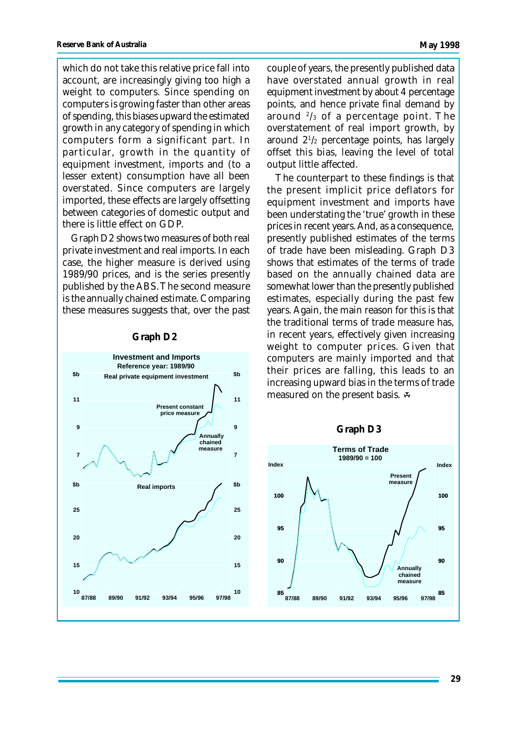which do not take this relative price fall into account, are increasingly giving too high a weight to computers. Since spending on computers is growing faster than other areas of spending, this biases upward the estimated growth in any category of spending in which computers form a significant part. In particular, growth in the quantity of equipment investment, imports and (to a lesser extent) consumption have all been overstated. Since computers are largely imported, these effects are largely offsetting between categories of domestic output and there is little effect on GDP.

Graph D2 shows two measures of both real private investment and real imports. In each case, the higher measure is derived using 1989/90 prices, and is the series presently published by the ABS. The second measure is the annually chained estimate. Comparing these measures suggests that, over the past



#### **Graph D2**

couple of years, the presently published data have overstated annual growth in real equipment investment by about 4 percentage points, and hence private final demand by around <sup>2</sup> /3 of a percentage point. The overstatement of real import growth, by around 2<sup>1</sup> /2 percentage points, has largely offset this bias, leaving the level of total output little affected.

The counterpart to these findings is that the present implicit price deflators for equipment investment and imports have been understating the 'true' growth in these prices in recent years. And, as a consequence, presently published estimates of the terms of trade have been misleading. Graph D3 shows that estimates of the terms of trade based on the annually chained data are somewhat lower than the presently published estimates, especially during the past few years. Again, the main reason for this is that the traditional terms of trade measure has, in recent years, effectively given increasing weight to computer prices. Given that computers are mainly imported and that their prices are falling, this leads to an increasing upward bias in the terms of trade measured on the present basis.

#### **Graph D3**

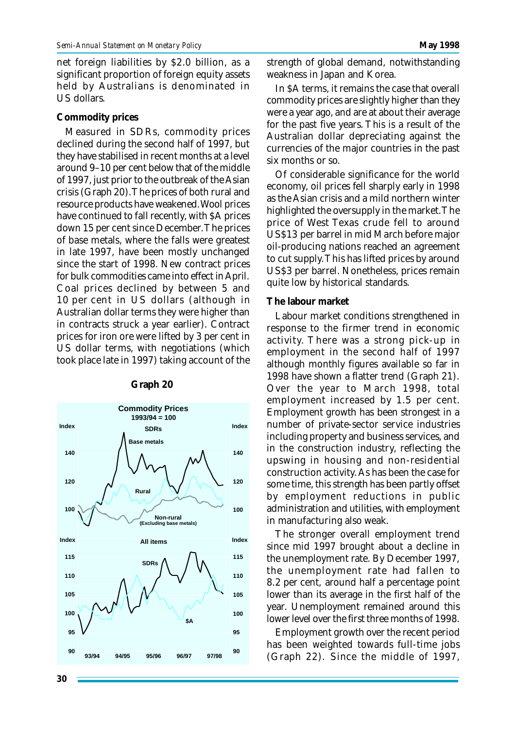net foreign liabilities by \$2.0 billion, as a significant proportion of foreign equity assets held by Australians is denominated in US dollars.

#### **Commodity prices**

Measured in SDRs, commodity prices declined during the second half of 1997, but they have stabilised in recent months at a level around 9–10 per cent below that of the middle of 1997, just prior to the outbreak of the Asian crisis (Graph 20). The prices of both rural and resource products have weakened. Wool prices have continued to fall recently, with \$A prices down 15 per cent since December. The prices of base metals, where the falls were greatest in late 1997, have been mostly unchanged since the start of 1998. New contract prices for bulk commodities came into effect in April. Coal prices declined by between 5 and 10 per cent in US dollars (although in Australian dollar terms they were higher than in contracts struck a year earlier). Contract prices for iron ore were lifted by 3 per cent in US dollar terms, with negotiations (which took place late in 1997) taking account of the



#### **Graph 20**

strength of global demand, notwithstanding weakness in Japan and Korea.

In \$A terms, it remains the case that overall commodity prices are slightly higher than they were a year ago, and are at about their average for the past five years. This is a result of the Australian dollar depreciating against the currencies of the major countries in the past six months or so.

Of considerable significance for the world economy, oil prices fell sharply early in 1998 as the Asian crisis and a mild northern winter highlighted the oversupply in the market. The price of West Texas crude fell to around US\$13 per barrel in mid March before major oil-producing nations reached an agreement to cut supply. This has lifted prices by around US\$3 per barrel. Nonetheless, prices remain quite low by historical standards.

#### **The labour market**

Labour market conditions strengthened in response to the firmer trend in economic activity. There was a strong pick-up in employment in the second half of 1997 although monthly figures available so far in 1998 have shown a flatter trend (Graph 21). Over the year to March 1998, total employment increased by 1.5 per cent. Employment growth has been strongest in a number of private-sector service industries including property and business services, and in the construction industry, reflecting the upswing in housing and non-residential construction activity. As has been the case for some time, this strength has been partly offset by employment reductions in public administration and utilities, with employment in manufacturing also weak.

The stronger overall employment trend since mid 1997 brought about a decline in the unemployment rate. By December 1997, the unemployment rate had fallen to 8.2 per cent, around half a percentage point lower than its average in the first half of the year. Unemployment remained around this lower level over the first three months of 1998.

Employment growth over the recent period has been weighted towards full-time jobs (Graph 22). Since the middle of 1997,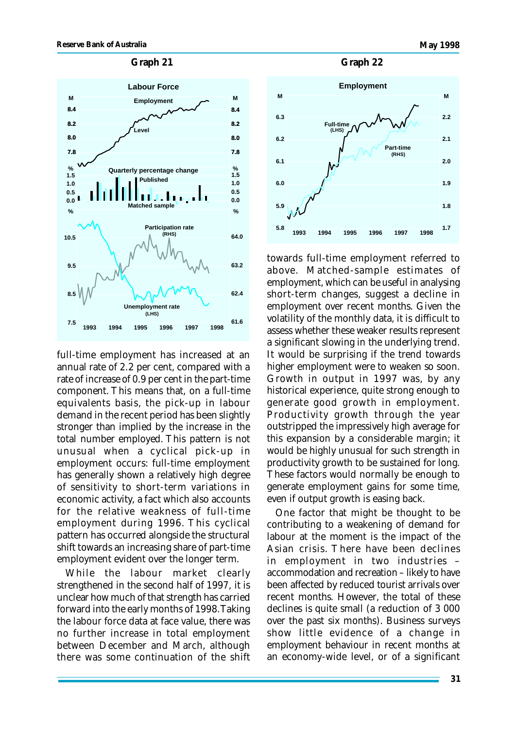#### **Graph 21 Graph 22**



full-time employment has increased at an annual rate of 2.2 per cent, compared with a rate of increase of 0.9 per cent in the part-time component. This means that, on a full-time equivalents basis, the pick-up in labour demand in the recent period has been slightly stronger than implied by the increase in the total number employed. This pattern is not unusual when a cyclical pick-up in employment occurs: full-time employment has generally shown a relatively high degree of sensitivity to short-term variations in economic activity, a fact which also accounts for the relative weakness of full-time employment during 1996. This cyclical pattern has occurred alongside the structural shift towards an increasing share of part-time employment evident over the longer term.

While the labour market clearly strengthened in the second half of 1997, it is unclear how much of that strength has carried forward into the early months of 1998. Taking the labour force data at face value, there was no further increase in total employment between December and March, although there was some continuation of the shift





towards full-time employment referred to above. Matched-sample estimates of employment, which can be useful in analysing short-term changes, suggest a decline in employment over recent months. Given the volatility of the monthly data, it is difficult to assess whether these weaker results represent a significant slowing in the underlying trend. It would be surprising if the trend towards higher employment were to weaken so soon. Growth in output in 1997 was, by any historical experience, quite strong enough to generate good growth in employment. Productivity growth through the year outstripped the impressively high average for this expansion by a considerable margin; it would be highly unusual for such strength in productivity growth to be sustained for long. These factors would normally be enough to generate employment gains for some time, even if output growth is easing back.

One factor that might be thought to be contributing to a weakening of demand for labour at the moment is the impact of the Asian crisis. There have been declines in employment in two industries – accommodation and recreation – likely to have been affected by reduced tourist arrivals over recent months. However, the total of these declines is quite small (a reduction of 3 000 over the past six months). Business surveys show little evidence of a change in employment behaviour in recent months at an economy-wide level, or of a significant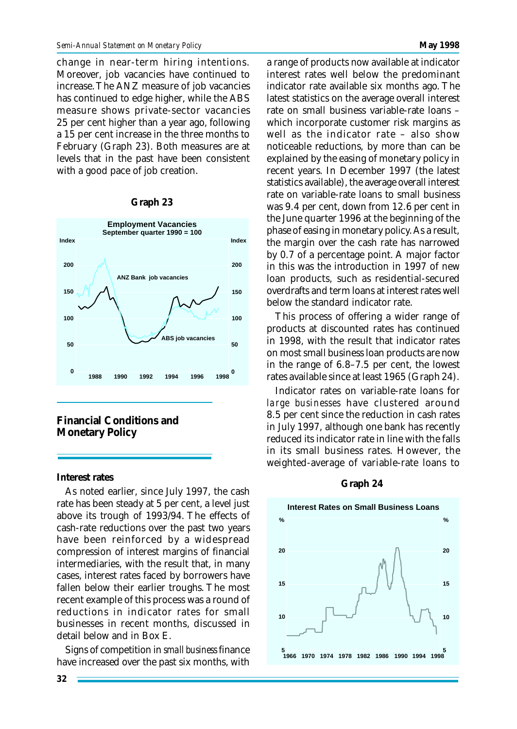change in near-term hiring intentions. Moreover, job vacancies have continued to increase. The ANZ measure of job vacancies has continued to edge higher, while the ABS measure shows private-sector vacancies 25 per cent higher than a year ago, following a 15 per cent increase in the three months to February (Graph 23). Both measures are at levels that in the past have been consistent with a good pace of job creation.

#### **Graph 23**



**Financial Conditions and Monetary Policy**

#### **Interest rates**

As noted earlier, since July 1997, the cash rate has been steady at 5 per cent, a level just above its trough of 1993/94. The effects of cash-rate reductions over the past two years have been reinforced by a widespread compression of interest margins of financial intermediaries, with the result that, in many cases, interest rates faced by borrowers have fallen below their earlier troughs. The most recent example of this process was a round of reductions in indicator rates for small businesses in recent months, discussed in detail below and in Box E.

Signs of competition in *small business* finance have increased over the past six months, with a range of products now available at indicator interest rates well below the predominant indicator rate available six months ago. The latest statistics on the average overall interest rate on small business variable-rate loans – which incorporate customer risk margins as well as the indicator rate – also show noticeable reductions, by more than can be explained by the easing of monetary policy in recent years. In December 1997 (the latest statistics available), the average overall interest rate on variable-rate loans to small business was 9.4 per cent, down from 12.6 per cent in the June quarter 1996 at the beginning of the phase of easing in monetary policy. As a result, the margin over the cash rate has narrowed by 0.7 of a percentage point. A major factor in this was the introduction in 1997 of new loan products, such as residential-secured overdrafts and term loans at interest rates well below the standard indicator rate.

This process of offering a wider range of products at discounted rates has continued in 1998, with the result that indicator rates on most small business loan products are now in the range of 6.8–7.5 per cent, the lowest rates available since at least 1965 (Graph 24).

Indicator rates on variable-rate loans for *large businesses* have clustered around 8.5 per cent since the reduction in cash rates in July 1997, although one bank has recently reduced its indicator rate in line with the falls in its small business rates. However, the weighted-average of variable-rate loans to

#### **Graph 24**

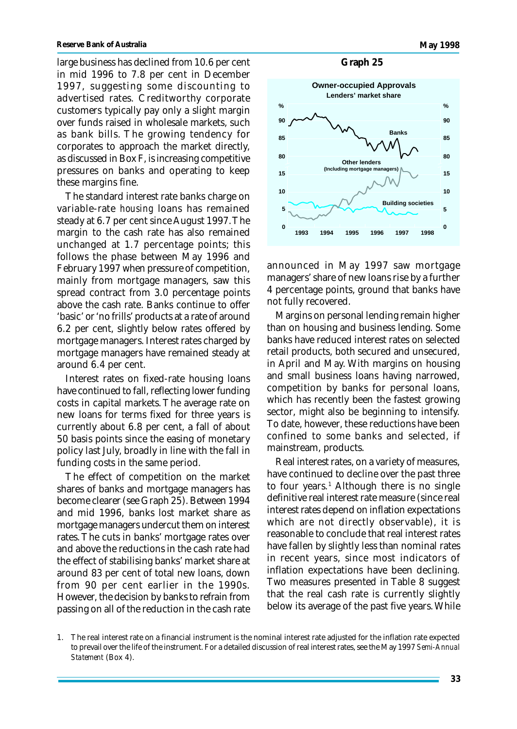large business has declined from 10.6 per cent in mid 1996 to 7.8 per cent in December 1997, suggesting some discounting to advertised rates. Creditworthy corporate customers typically pay only a slight margin over funds raised in wholesale markets, such as bank bills. The growing tendency for corporates to approach the market directly, as discussed in Box F, is increasing competitive pressures on banks and operating to keep these margins fine.

The standard interest rate banks charge on variable-rate *housing* loans has remained steady at 6.7 per cent since August 1997. The margin to the cash rate has also remained unchanged at 1.7 percentage points; this follows the phase between May 1996 and February 1997 when pressure of competition, mainly from mortgage managers, saw this spread contract from 3.0 percentage points above the cash rate. Banks continue to offer 'basic' or 'no frills' products at a rate of around 6.2 per cent, slightly below rates offered by mortgage managers. Interest rates charged by mortgage managers have remained steady at around 6.4 per cent.

Interest rates on fixed-rate housing loans have continued to fall, reflecting lower funding costs in capital markets. The average rate on new loans for terms fixed for three years is currently about 6.8 per cent, a fall of about 50 basis points since the easing of monetary policy last July, broadly in line with the fall in funding costs in the same period.

The effect of competition on the market shares of banks and mortgage managers has become clearer (see Graph 25). Between 1994 and mid 1996, banks lost market share as mortgage managers undercut them on interest rates. The cuts in banks' mortgage rates over and above the reductions in the cash rate had the effect of stabilising banks' market share at around 83 per cent of total new loans, down from 90 per cent earlier in the 1990s. However, the decision by banks to refrain from passing on all of the reduction in the cash rate

#### **Graph 25**



announced in May 1997 saw mortgage managers' share of new loans rise by a further 4 percentage points, ground that banks have not fully recovered.

Margins on personal lending remain higher than on housing and business lending. Some banks have reduced interest rates on selected retail products, both secured and unsecured, in April and May. With margins on housing and small business loans having narrowed, competition by banks for personal loans, which has recently been the fastest growing sector, might also be beginning to intensify. To date, however, these reductions have been confined to some banks and selected, if mainstream, products.

Real interest rates, on a variety of measures, have continued to decline over the past three to four years.<sup>1</sup> Although there is no single definitive real interest rate measure (since real interest rates depend on inflation expectations which are not directly observable), it is reasonable to conclude that real interest rates have fallen by slightly less than nominal rates in recent years, since most indicators of inflation expectations have been declining. Two measures presented in Table 8 suggest that the real cash rate is currently slightly below its average of the past five years. While

<sup>1.</sup> The real interest rate on a financial instrument is the nominal interest rate adjusted for the inflation rate expected to prevail over the life of the instrument. For a detailed discussion of real interest rates, see the May 1997 *Semi-Annual Statement* (Box 4).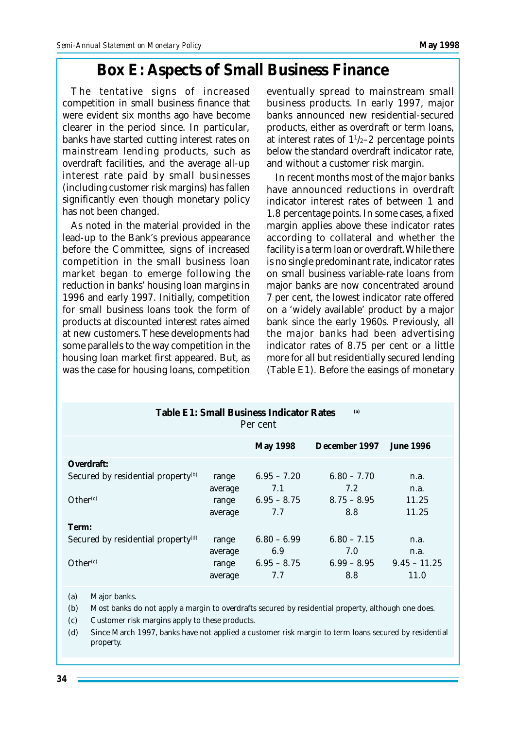### **Box E: Aspects of Small Business Finance**

The tentative signs of increased competition in small business finance that were evident six months ago have become clearer in the period since. In particular, banks have started cutting interest rates on mainstream lending products, such as overdraft facilities, and the average all-up interest rate paid by small businesses (including customer risk margins) has fallen significantly even though monetary policy has not been changed.

As noted in the material provided in the lead-up to the Bank's previous appearance before the Committee, signs of increased competition in the small business loan market began to emerge following the reduction in banks' housing loan margins in 1996 and early 1997. Initially, competition for small business loans took the form of products at discounted interest rates aimed at new customers. These developments had some parallels to the way competition in the housing loan market first appeared. But, as was the case for housing loans, competition eventually spread to mainstream small business products. In early 1997, major banks announced new residential-secured products, either as overdraft or term loans, at interest rates of  $1\frac{1}{2}$  percentage points below the standard overdraft indicator rate, and without a customer risk margin.

In recent months most of the major banks have announced reductions in overdraft indicator interest rates of between 1 and 1.8 percentage points. In some cases, a fixed margin applies above these indicator rates according to collateral and whether the facility is a term loan or overdraft. While there is no single predominant rate, indicator rates on small business variable-rate loans from major banks are now concentrated around 7 per cent, the lowest indicator rate offered on a 'widely available' product by a major bank since the early 1960s. Previously, all the major banks had been advertising indicator rates of 8.75 per cent or a little more for all but residentially secured lending (Table E1). Before the easings of monetary

| Table E1: Small Business Indicator Rates<br>(a)<br>Per cent            |                           |                                       |                                       |                       |  |  |  |
|------------------------------------------------------------------------|---------------------------|---------------------------------------|---------------------------------------|-----------------------|--|--|--|
|                                                                        |                           | <b>May 1998</b>                       | December 1997                         | <b>June 1996</b>      |  |  |  |
| Overdraft:                                                             |                           |                                       |                                       |                       |  |  |  |
| Secured by residential property <sup>(b)</sup><br>Other <sup>(c)</sup> | range<br>average<br>range | $6.95 - 7.20$<br>7.1<br>$6.95 - 8.75$ | $6.80 - 7.70$<br>7.2<br>$8.75 - 8.95$ | n.a.<br>n.a.<br>11.25 |  |  |  |
|                                                                        | average                   | 7.7                                   | 8.8                                   | 11.25                 |  |  |  |
| Term:                                                                  |                           |                                       |                                       |                       |  |  |  |
| Secured by residential property <sup>(d)</sup>                         | range                     | $6.80 - 6.99$                         | $6.80 - 7.15$                         | n.a.                  |  |  |  |
|                                                                        | average                   | 6.9                                   | 7.0                                   | n.a.                  |  |  |  |
| Other <sup>(c)</sup>                                                   | range                     | $6.95 - 8.75$                         | $6.99 - 8.95$                         | $9.45 - 11.25$        |  |  |  |
|                                                                        | average                   | 7.7                                   | 8.8                                   | 11.0                  |  |  |  |

(a) Major banks.

(b) Most banks do not apply a margin to overdrafts secured by residential property, although one does.

(c) Customer risk margins apply to these products.

(d) Since March 1997, banks have not applied a customer risk margin to term loans secured by residential property.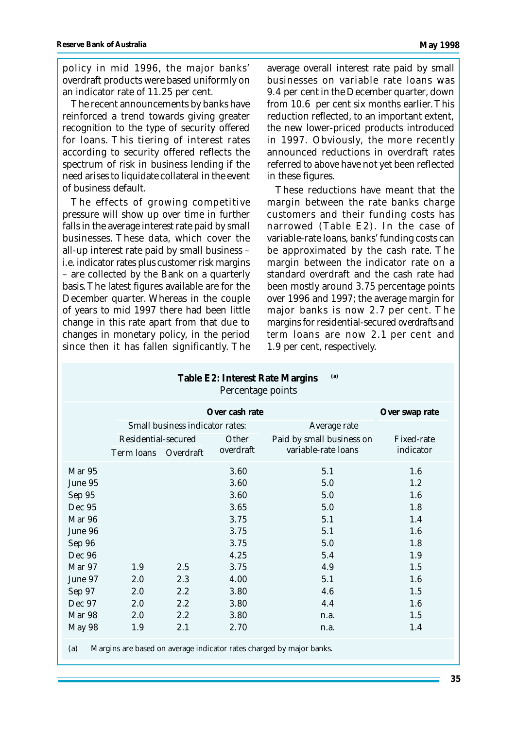policy in mid 1996, the major banks' overdraft products were based uniformly on an indicator rate of 11.25 per cent.

The recent announcements by banks have reinforced a trend towards giving greater recognition to the type of security offered for loans. This tiering of interest rates according to security offered reflects the spectrum of risk in business lending if the need arises to liquidate collateral in the event of business default.

The effects of growing competitive pressure will show up over time in further falls in the average interest rate paid by small businesses. These data, which cover the all-up interest rate paid by small business – i.e. indicator rates plus customer risk margins – are collected by the Bank on a quarterly basis. The latest figures available are for the December quarter. Whereas in the couple of years to mid 1997 there had been little change in this rate apart from that due to changes in monetary policy, in the period since then it has fallen significantly. The

average overall interest rate paid by small businesses on variable rate loans was 9.4 per cent in the December quarter, down from 10.6 per cent six months earlier. This reduction reflected, to an important extent, the new lower-priced products introduced in 1997. Obviously, the more recently announced reductions in overdraft rates referred to above have not yet been reflected in these figures.

These reductions have meant that the margin between the rate banks charge customers and their funding costs has narrowed (Table E2). In the case of variable-rate loans, banks' funding costs can be approximated by the cash rate. The margin between the indicator rate on a standard overdraft and the cash rate had been mostly around 3.75 percentage points over 1996 and 1997; the average margin for major banks is now 2.7 per cent. The margins for residential-secured *overdrafts* and *term* loans are now 2.1 per cent and 1.9 per cent, respectively.

| (a)<br>Table E2: Interest Rate Margins<br>Percentage points                 |                                  |                                 |           |                           |            |  |  |  |
|-----------------------------------------------------------------------------|----------------------------------|---------------------------------|-----------|---------------------------|------------|--|--|--|
|                                                                             | Over cash rate<br>Over swap rate |                                 |           |                           |            |  |  |  |
|                                                                             |                                  | Small business indicator rates: |           | Average rate              |            |  |  |  |
|                                                                             | Residential-secured<br>Other     |                                 |           | Paid by small business on | Fixed-rate |  |  |  |
|                                                                             | Term loans                       | Overdraft                       | overdraft | variable-rate loans       | indicator  |  |  |  |
| Mar 95                                                                      |                                  |                                 | 3.60      | 5.1                       | 1.6        |  |  |  |
| June 95                                                                     |                                  |                                 | 3.60      | 5.0                       | 1.2        |  |  |  |
| Sep 95                                                                      |                                  |                                 | 3.60      | 5.0                       | 1.6        |  |  |  |
| Dec 95                                                                      |                                  |                                 | 3.65      | 5.0                       | 1.8        |  |  |  |
| Mar 96                                                                      |                                  |                                 | 3.75      | 5.1                       | 1.4        |  |  |  |
| June 96                                                                     |                                  |                                 | 3.75      | 5.1                       | 1.6        |  |  |  |
| Sep 96                                                                      |                                  |                                 | 3.75      | 5.0                       | 1.8        |  |  |  |
| Dec 96                                                                      |                                  |                                 | 4.25      | 5.4                       | 1.9        |  |  |  |
| Mar 97                                                                      | 1.9                              | 2.5                             | 3.75      | 4.9                       | 1.5        |  |  |  |
| June 97                                                                     | 2.0                              | 2.3                             | 4.00      | 5.1                       | 1.6        |  |  |  |
| Sep 97                                                                      | 2.0                              | 2.2                             | 3.80      | 4.6                       | 1.5        |  |  |  |
| Dec 97                                                                      | 2.0                              | 2.2                             | 3.80      | 4.4                       | 1.6        |  |  |  |
| Mar 98                                                                      | 2.0                              | 2.2                             | 3.80      | n.a.                      | 1.5        |  |  |  |
| May 98                                                                      | 1.9                              | 2.1                             | 2.70      | n.a.                      | 1.4        |  |  |  |
| Margins are based on average indicator rates charged by major banks.<br>(a) |                                  |                                 |           |                           |            |  |  |  |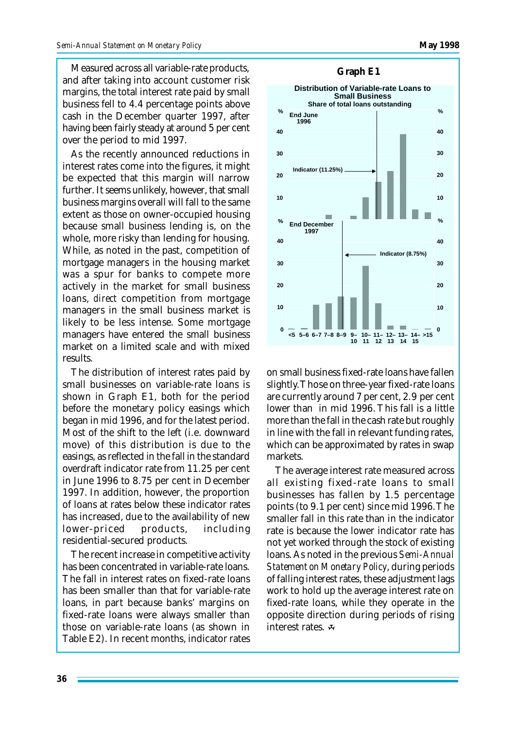Measured across all variable-rate products, and after taking into account customer risk margins, the total interest rate paid by small business fell to 4.4 percentage points above cash in the December quarter 1997, after having been fairly steady at around 5 per cent over the period to mid 1997.

As the recently announced reductions in interest rates come into the figures, it might be expected that this margin will narrow further. It seems unlikely, however, that small business margins overall will fall to the same extent as those on owner-occupied housing because small business lending is, on the whole, more risky than lending for housing. While, as noted in the past, competition of mortgage managers in the housing market was a spur for banks to compete more actively in the market for small business loans, *direct* competition from mortgage managers in the small business market is likely to be less intense. Some mortgage managers have entered the small business market on a limited scale and with mixed results.

The distribution of interest rates paid by small businesses on variable-rate loans is shown in Graph E1, both for the period before the monetary policy easings which began in mid 1996, and for the latest period. Most of the shift to the left (i.e. downward move) of this distribution is due to the easings, as reflected in the fall in the standard overdraft indicator rate from 11.25 per cent in June 1996 to 8.75 per cent in December 1997. In addition, however, the proportion of loans at rates below these indicator rates has increased, due to the availability of new lower-priced products, including residential-secured products.

The recent increase in competitive activity has been concentrated in variable-rate loans. The fall in interest rates on fixed-rate loans has been smaller than that for variable-rate loans, in part because banks' margins on fixed-rate loans were always smaller than those on variable-rate loans (as shown in Table E2). In recent months, indicator rates



on small business fixed-rate loans have fallen slightly. Those on three-year fixed-rate loans are currently around 7 per cent, 2.9 per cent lower than in mid 1996. This fall is a little more than the fall in the cash rate but roughly in line with the fall in relevant funding rates, which can be approximated by rates in swap markets.

The average interest rate measured across all existing fixed-rate loans to small businesses has fallen by 1.5 percentage points (to 9.1 per cent) since mid 1996. The smaller fall in this rate than in the indicator rate is because the lower indicator rate has not yet worked through the stock of existing loans. As noted in the previous *Semi-Annual Statement on Monetary Policy*, during periods of falling interest rates, these adjustment lags work to hold up the average interest rate on fixed-rate loans, while they operate in the opposite direction during periods of rising interest rates.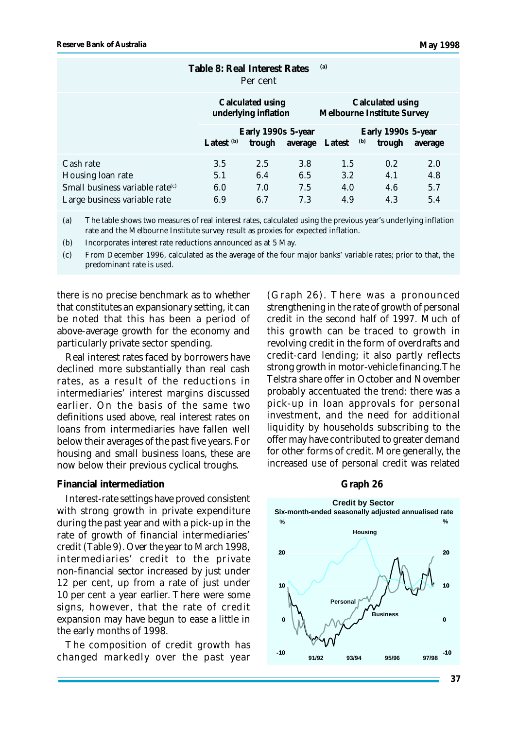|                                                                                | <b>Table 8: Real Interest Rates</b><br>Per cent |                              |            | (a)                                                   |                                     |            |
|--------------------------------------------------------------------------------|-------------------------------------------------|------------------------------|------------|-------------------------------------------------------|-------------------------------------|------------|
|                                                                                | Calculated using<br>underlying inflation        |                              |            | Calculated using<br><b>Melbourne Institute Survey</b> |                                     |            |
|                                                                                | Latest <sup>(b)</sup>                           | Early 1990s 5-year<br>trough |            | average Latest                                        | Early 1990s 5-year<br>(b)<br>trough | average    |
| Cash rate<br>Housing loan rate                                                 | 3.5<br>5.1                                      | 2.5<br>6.4                   | 3.8<br>6.5 | 1.5<br>3.2                                            | 0.2<br>4.1                          | 2.0<br>4.8 |
| Small business variable rate ${}^{\text{(c)}}$<br>Large business variable rate | 6.0<br>6.9                                      | 7.0<br>6.7                   | 7.5<br>7.3 | 4.0<br>4.9                                            | 4.6<br>4.3                          | 5.7<br>5.4 |

(a) The table shows two measures of real interest rates, calculated using the previous year's underlying inflation rate and the Melbourne Institute survey result as proxies for expected inflation.

(b) Incorporates interest rate reductions announced as at 5 May.

(c) From December 1996, calculated as the average of the four major banks' variable rates; prior to that, the predominant rate is used.

there is no precise benchmark as to whether that constitutes an expansionary setting, it can be noted that this has been a period of above-average growth for the economy and particularly private sector spending.

Real interest rates faced by borrowers have declined more substantially than real cash rates, as a result of the reductions in intermediaries' interest margins discussed earlier. On the basis of the same two definitions used above, real interest rates on loans from intermediaries have fallen well below their averages of the past five years. For housing and small business loans, these are now below their previous cyclical troughs.

#### **Financial intermediation**

Interest-rate settings have proved consistent with strong growth in private expenditure during the past year and with a pick-up in the rate of growth of financial intermediaries' credit (Table 9). Over the year to March 1998, intermediaries' credit to the private non-financial sector increased by just under 12 per cent, up from a rate of just under 10 per cent a year earlier. There were some signs, however, that the rate of credit expansion may have begun to ease a little in the early months of 1998.

The composition of credit growth has changed markedly over the past year (Graph 26). There was a pronounced strengthening in the rate of growth of personal credit in the second half of 1997. Much of this growth can be traced to growth in revolving credit in the form of overdrafts and credit-card lending; it also partly reflects strong growth in motor-vehicle financing. The Telstra share offer in October and November probably accentuated the trend: there was a pick-up in loan approvals for personal investment, and the need for additional liquidity by households subscribing to the offer may have contributed to greater demand for other forms of credit. More generally, the increased use of personal credit was related

#### **Graph 26**

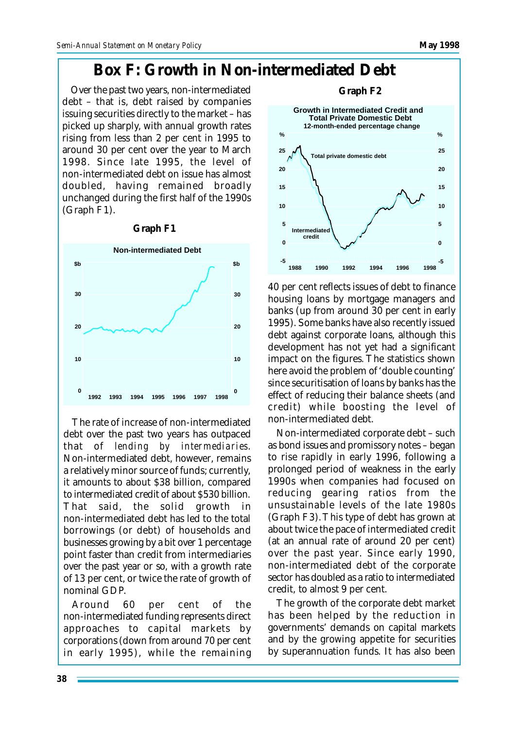## **Box F: Growth in Non-intermediated Debt**

Over the past two years, non-intermediated debt – that is, debt raised by companies issuing securities directly to the market – has picked up sharply, with annual growth rates rising from less than 2 per cent in 1995 to around 30 per cent over the year to March 1998. Since late 1995, the level of non-intermediated debt on issue has almost doubled, having remained broadly unchanged during the first half of the 1990s (Graph F1).



The rate of increase of non-intermediated debt over the past two years has outpaced that of *lending by intermediaries*. Non-intermediated debt, however, remains a relatively minor source of funds; currently, it amounts to about \$38 billion, compared to intermediated credit of about \$530 billion. That said, the solid growth in non-intermediated debt has led to the total borrowings (or debt) of households and businesses growing by a bit over 1 percentage point faster than credit from intermediaries over the past year or so, with a growth rate of 13 per cent, or twice the rate of growth of nominal GDP.

Around 60 per cent of the non-intermediated funding represents direct approaches to capital markets by corporations (down from around 70 per cent in early 1995), while the remaining



40 per cent reflects issues of debt to finance housing loans by mortgage managers and banks (up from around 30 per cent in early 1995). Some banks have also recently issued debt against corporate loans, although this development has not yet had a significant impact on the figures. The statistics shown here avoid the problem of 'double counting' since securitisation of loans by banks has the effect of reducing their balance sheets (and credit) while boosting the level of non-intermediated debt.

Non-intermediated corporate debt – such as bond issues and promissory notes – began to rise rapidly in early 1996, following a prolonged period of weakness in the early 1990s when companies had focused on reducing gearing ratios from the unsustainable levels of the late 1980s (Graph F3). This type of debt has grown at about twice the pace of intermediated credit (at an annual rate of around 20 per cent) over the past year. Since early 1990, non-intermediated debt of the corporate sector has doubled as a ratio to intermediated credit, to almost 9 per cent.

The growth of the corporate debt market has been helped by the reduction in governments' demands on capital markets and by the growing appetite for securities by superannuation funds. It has also been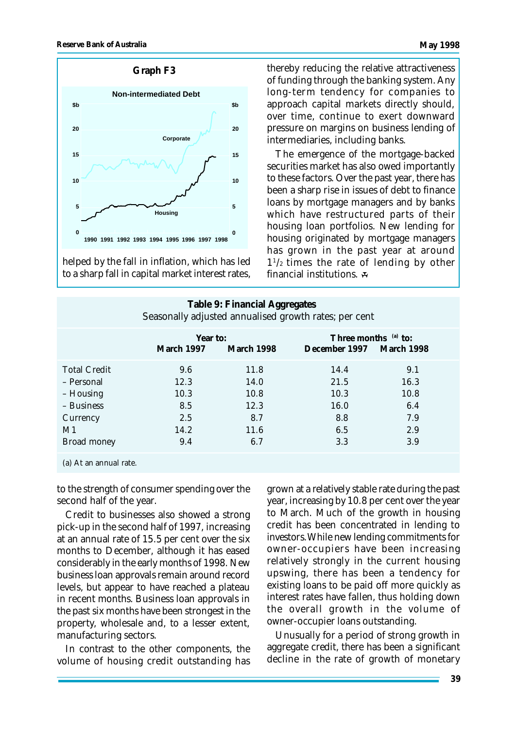

helped by the fall in inflation, which has led to a sharp fall in capital market interest rates, thereby reducing the relative attractiveness of funding through the banking system. Any long-term tendency for companies to approach capital markets directly should, over time, continue to exert downward pressure on margins on business lending of intermediaries, including banks.

The emergence of the mortgage-backed securities market has also owed importantly to these factors. Over the past year, there has been a sharp rise in issues of debt to finance loans by mortgage managers and by banks which have restructured parts of their housing loan portfolios. New lending for housing originated by mortgage managers has grown in the past year at around 1 1 /2 times the rate of lending by other financial institutions.  $\mathcal{F}$ 

#### **Table 9: Financial Aggregates** Seasonally adjusted annualised growth rates; per cent

|                                                                                                      | Year to:<br>March 1997                           | <b>March 1998</b>                                  | Three months $(a)$ to:<br>December 1997 March 1998 |                                                 |  |
|------------------------------------------------------------------------------------------------------|--------------------------------------------------|----------------------------------------------------|----------------------------------------------------|-------------------------------------------------|--|
| <b>Total Credit</b><br>- Personal<br>– Housing<br>- Business<br>Currency<br>M1<br><b>Broad money</b> | 9.6<br>12.3<br>10.3<br>8.5<br>2.5<br>14.2<br>9.4 | 11.8<br>14.0<br>10.8<br>12.3<br>8.7<br>11.6<br>6.7 | 14.4<br>21.5<br>10.3<br>16.0<br>8.8<br>6.5<br>3.3  | 9.1<br>16.3<br>10.8<br>6.4<br>7.9<br>2.9<br>3.9 |  |
|                                                                                                      |                                                  |                                                    |                                                    |                                                 |  |

(a) At an annual rate.

to the strength of consumer spending over the second half of the year.

Credit to businesses also showed a strong pick-up in the second half of 1997, increasing at an annual rate of 15.5 per cent over the six months to December, although it has eased considerably in the early months of 1998. New business loan approvals remain around record levels, but appear to have reached a plateau in recent months. Business loan approvals in the past six months have been strongest in the property, wholesale and, to a lesser extent, manufacturing sectors.

In contrast to the other components, the volume of housing credit outstanding has grown at a relatively stable rate during the past year, increasing by 10.8 per cent over the year to March. Much of the growth in housing credit has been concentrated in lending to investors. While new lending commitments for owner-occupiers have been increasing relatively strongly in the current housing upswing, there has been a tendency for existing loans to be paid off more quickly as interest rates have fallen, thus holding down the overall growth in the volume of owner-occupier loans outstanding.

Unusually for a period of strong growth in aggregate credit, there has been a significant decline in the rate of growth of monetary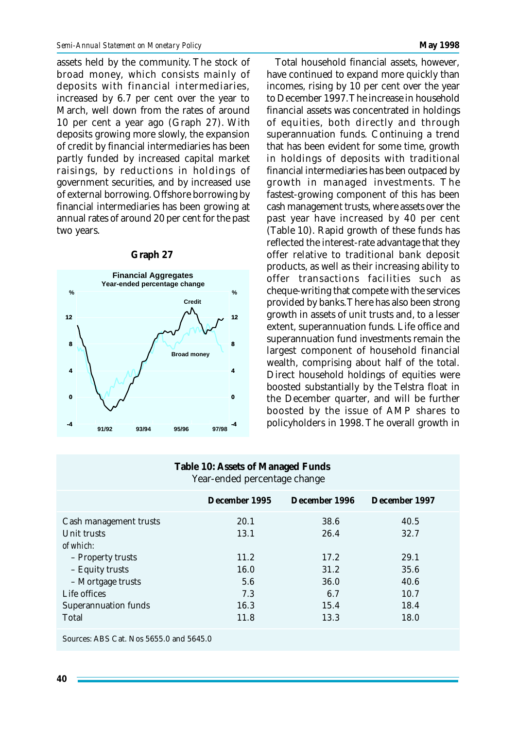assets held by the community. The stock of broad money, which consists mainly of deposits with financial intermediaries, increased by 6.7 per cent over the year to March, well down from the rates of around 10 per cent a year ago (Graph 27). With deposits growing more slowly, the expansion of credit by financial intermediaries has been partly funded by increased capital market raisings, by reductions in holdings of government securities, and by increased use of external borrowing. Offshore borrowing by financial intermediaries has been growing at annual rates of around 20 per cent for the past two years.



#### **Graph 27**

Total household financial assets, however, have continued to expand more quickly than incomes, rising by 10 per cent over the year to December 1997. The increase in household financial assets was concentrated in holdings of equities, both directly and through superannuation funds. Continuing a trend that has been evident for some time, growth in holdings of deposits with traditional financial intermediaries has been outpaced by growth in managed investments. The fastest-growing component of this has been cash management trusts, where assets over the past year have increased by 40 per cent (Table 10). Rapid growth of these funds has reflected the interest-rate advantage that they offer relative to traditional bank deposit products, as well as their increasing ability to offer transactions facilities such as cheque-writing that compete with the services provided by banks. There has also been strong growth in assets of unit trusts and, to a lesser extent, superannuation funds. Life office and superannuation fund investments remain the largest component of household financial wealth, comprising about half of the total. Direct household holdings of equities were boosted substantially by the Telstra float in the December quarter, and will be further boosted by the issue of AMP shares to policyholders in 1998. The overall growth in

#### **Table 10: Assets of Managed Funds** Year-ended percentage change

|                                                                                                                                                                         | December 1995                                              | December 1996                                               | December 1997                                                |
|-------------------------------------------------------------------------------------------------------------------------------------------------------------------------|------------------------------------------------------------|-------------------------------------------------------------|--------------------------------------------------------------|
| Cash management trusts<br>Unit trusts<br>of which:<br>- Property trusts<br>– Equity trusts<br>- Mortgage trusts<br>Life offices<br><b>Superannuation funds</b><br>Total | 20.1<br>13.1<br>11.2<br>16.0<br>5.6<br>7.3<br>16.3<br>11.8 | 38.6<br>26.4<br>17.2<br>31.2<br>36.0<br>6.7<br>15.4<br>13.3 | 40.5<br>32.7<br>29.1<br>35.6<br>40.6<br>10.7<br>18.4<br>18.0 |
|                                                                                                                                                                         |                                                            |                                                             |                                                              |

Sources: ABS Cat. Nos 5655.0 and 5645.0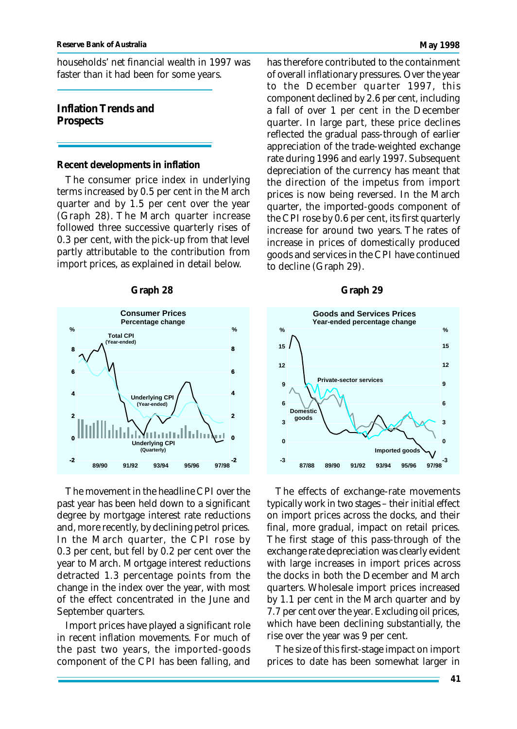households' net financial wealth in 1997 was faster than it had been for some years.

#### **Inflation Trends and Prospects**

#### **Recent developments in inflation**

The consumer price index in underlying terms increased by 0.5 per cent in the March quarter and by 1.5 per cent over the year (Graph 28). The March quarter increase followed three successive quarterly rises of 0.3 per cent, with the pick-up from that level partly attributable to the contribution from import prices, as explained in detail below.



The movement in the headline CPI over the past year has been held down to a significant degree by mortgage interest rate reductions and, more recently, by declining petrol prices. In the March quarter, the CPI rose by 0.3 per cent, but fell by 0.2 per cent over the year to March. Mortgage interest reductions detracted 1.3 percentage points from the change in the index over the year, with most of the effect concentrated in the June and September quarters.

Import prices have played a significant role in recent inflation movements. For much of the past two years, the imported-goods component of the CPI has been falling, and has therefore contributed to the containment of overall inflationary pressures. Over the year to the December quarter 1997, this component declined by 2.6 per cent, including a fall of over 1 per cent in the December quarter. In large part, these price declines reflected the gradual pass-through of earlier appreciation of the trade-weighted exchange rate during 1996 and early 1997. Subsequent depreciation of the currency has meant that the direction of the impetus from import prices is now being reversed. In the March quarter, the imported-goods component of the CPI rose by 0.6 per cent, its first quarterly increase for around two years. The rates of increase in prices of domestically produced goods and services in the CPI have continued to decline (Graph 29).

#### **Graph 28 Graph 29**



The effects of exchange-rate movements typically work in two stages – their initial effect on import prices across the docks, and their final, more gradual, impact on retail prices. The first stage of this pass-through of the exchange rate depreciation was clearly evident with large increases in import prices across the docks in both the December and March quarters. Wholesale import prices increased by 1.1 per cent in the March quarter and by 7.7 per cent over the year. Excluding oil prices, which have been declining substantially, the rise over the year was 9 per cent.

The size of this first-stage impact on import prices to date has been somewhat larger in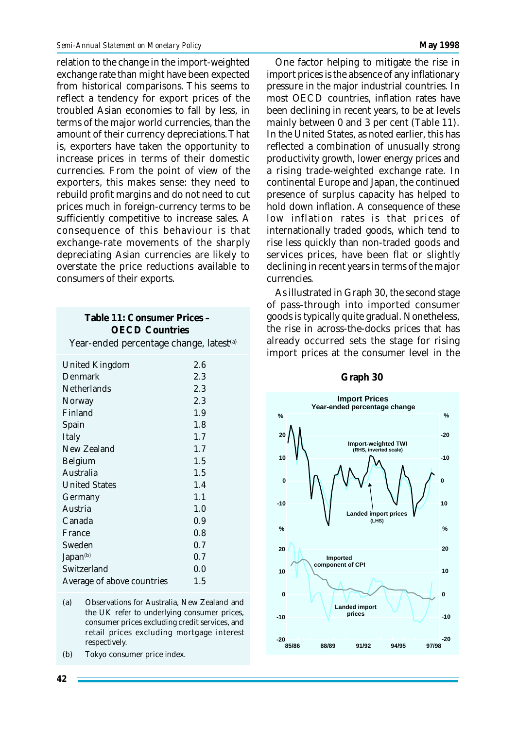relation to the change in the import-weighted exchange rate than might have been expected from historical comparisons. This seems to reflect a tendency for export prices of the troubled Asian economies to fall by less, in terms of the major world currencies, than the amount of their currency depreciations. That is, exporters have taken the opportunity to increase prices in terms of their domestic currencies. From the point of view of the exporters, this makes sense: they need to rebuild profit margins and do not need to cut prices much in foreign-currency terms to be sufficiently competitive to increase sales. A consequence of this behaviour is that exchange-rate movements of the sharply depreciating Asian currencies are likely to overstate the price reductions available to consumers of their exports.

| <b>OECD Countries</b>                               |     |  |  |  |  |
|-----------------------------------------------------|-----|--|--|--|--|
| Year-ended percentage change, latest <sup>(a)</sup> |     |  |  |  |  |
| <b>United Kingdom</b>                               | 2.6 |  |  |  |  |
| Denmark                                             | 2.3 |  |  |  |  |
| Netherlands                                         | 2.3 |  |  |  |  |
| Norway                                              | 2.3 |  |  |  |  |
| Finland                                             | 1.9 |  |  |  |  |
| Spain                                               | 1.8 |  |  |  |  |
| Italy                                               | 1.7 |  |  |  |  |
| New Zealand                                         | 1.7 |  |  |  |  |
| Belgium                                             | 1.5 |  |  |  |  |
| Australia                                           | 1.5 |  |  |  |  |
| <b>United States</b>                                | 1.4 |  |  |  |  |
| Germany                                             | 1.1 |  |  |  |  |
| Austria                                             | 1.0 |  |  |  |  |
| Canada                                              | 0.9 |  |  |  |  |
| France                                              | 0.8 |  |  |  |  |
| Sweden                                              | 0.7 |  |  |  |  |
| Japan <sup>(b)</sup>                                | 0.7 |  |  |  |  |
| Switzerland                                         | 0.0 |  |  |  |  |
| Average of above countries                          | 1.5 |  |  |  |  |

**Table 11: Consumer Prices –**

- (a) Observations for Australia, New Zealand and the UK refer to underlying consumer prices, consumer prices excluding credit services, and retail prices excluding mortgage interest respectively.
- (b) Tokyo consumer price index.

One factor helping to mitigate the rise in import prices is the absence of any inflationary pressure in the major industrial countries. In most OECD countries, inflation rates have been declining in recent years, to be at levels mainly between 0 and 3 per cent (Table 11). In the United States, as noted earlier, this has reflected a combination of unusually strong productivity growth, lower energy prices and a rising trade-weighted exchange rate. In continental Europe and Japan, the continued presence of surplus capacity has helped to hold down inflation. A consequence of these low inflation rates is that prices of internationally traded goods, which tend to rise less quickly than non-traded goods and services prices, have been flat or slightly declining in recent years in terms of the major currencies.

As illustrated in Graph 30, the second stage of pass-through into imported consumer goods is typically quite gradual. Nonetheless, the rise in across-the-docks prices that has already occurred sets the stage for rising import prices at the consumer level in the



#### **Graph 30**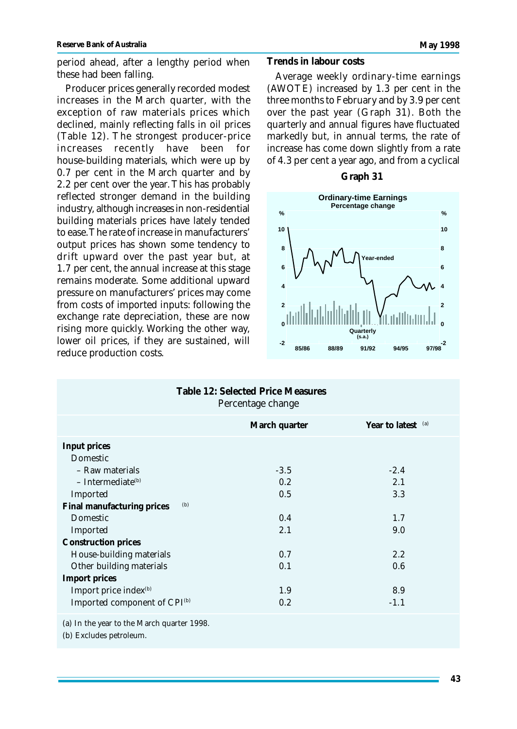Producer prices generally recorded modest increases in the March quarter, with the exception of raw materials prices which declined, mainly reflecting falls in oil prices (Table 12). The strongest producer-price increases recently have been for house-building materials, which were up by 0.7 per cent in the March quarter and by 2.2 per cent over the year. This has probably reflected stronger demand in the building industry, although increases in non-residential building materials prices have lately tended to ease. The rate of increase in manufacturers' output prices has shown some tendency to drift upward over the past year but, at 1.7 per cent, the annual increase at this stage remains moderate. Some additional upward pressure on manufacturers' prices may come from costs of imported inputs: following the exchange rate depreciation, these are now rising more quickly. Working the other way, lower oil prices, if they are sustained, will reduce production costs.

#### **Trends in labour costs**

Average weekly ordinary-time earnings (AWOTE) increased by 1.3 per cent in the three months to February and by 3.9 per cent over the past year (Graph 31). Both the quarterly and annual figures have fluctuated markedly but, in annual terms, the rate of increase has come down slightly from a rate of 4.3 per cent a year ago, and from a cyclical





| Table 12: Selected Price Measures<br>Percentage change |               |                    |  |  |  |
|--------------------------------------------------------|---------------|--------------------|--|--|--|
|                                                        | March quarter | Year to latest (a) |  |  |  |
| Input prices                                           |               |                    |  |  |  |
| Domestic                                               |               |                    |  |  |  |
| - Raw materials                                        | $-3.5$        | $-2.4$             |  |  |  |
| $-$ Intermediate <sup>(b)</sup>                        | 0.2           | 2.1                |  |  |  |
| Imported                                               | 0.5           | 3.3                |  |  |  |
| (b)<br>Final manufacturing prices                      |               |                    |  |  |  |
| Domestic                                               | 0.4           | 1.7                |  |  |  |
| Imported                                               | 2.1           | 9.0                |  |  |  |
| <b>Construction prices</b>                             |               |                    |  |  |  |
| House-building materials                               | 0.7           | 2.2                |  |  |  |
| Other building materials                               | 0.1           | 0.6                |  |  |  |
| <b>Import prices</b>                                   |               |                    |  |  |  |
| Import price index <sup>(b)</sup>                      | 1.9           | 8.9                |  |  |  |
| Imported component of CPI <sup>(b)</sup>               | 0.2           | $-1.1$             |  |  |  |
| (a) In the year to the March quarter 1998              |               |                    |  |  |  |

(a) In the year to the March quarter 1998.

(b) Excludes petroleum.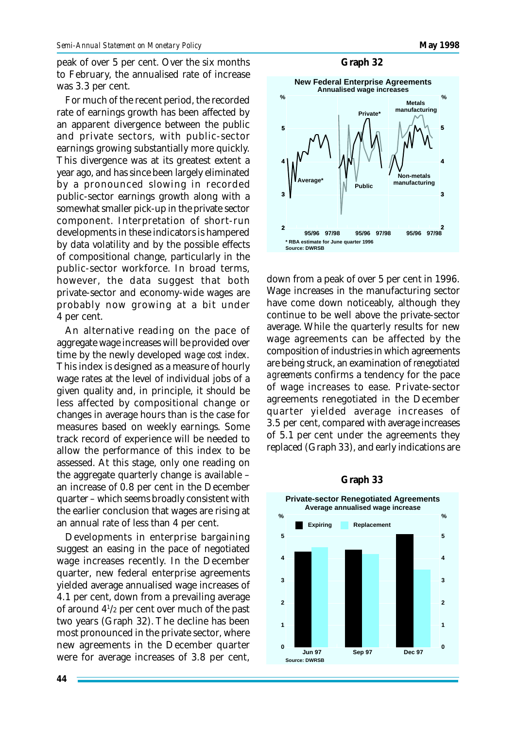peak of over 5 per cent. Over the six months to February, the annualised rate of increase was 3.3 per cent.

For much of the recent period, the recorded rate of earnings growth has been affected by an apparent divergence between the public and private sectors, with public-sector earnings growing substantially more quickly. This divergence was at its greatest extent a year ago, and has since been largely eliminated by a pronounced slowing in recorded public-sector earnings growth along with a somewhat smaller pick-up in the private sector component. Interpretation of short-run developments in these indicators is hampered by data volatility and by the possible effects of compositional change, particularly in the public-sector workforce. In broad terms, however, the data suggest that both private-sector and economy-wide wages are probably now growing at a bit under 4 per cent.

An alternative reading on the pace of aggregate wage increases will be provided over time by the newly developed *wage cost index*. This index is designed as a measure of hourly wage rates at the level of individual jobs of a given quality and, in principle, it should be less affected by compositional change or changes in average hours than is the case for measures based on weekly earnings. Some track record of experience will be needed to allow the performance of this index to be assessed. At this stage, only one reading on the aggregate quarterly change is available – an increase of 0.8 per cent in the December quarter – which seems broadly consistent with the earlier conclusion that wages are rising at an annual rate of less than 4 per cent.

Developments in enterprise bargaining suggest an easing in the pace of negotiated wage increases recently. In the December quarter, new federal enterprise agreements yielded average annualised wage increases of 4.1 per cent, down from a prevailing average of around 4<sup>1</sup> /2 per cent over much of the past two years (Graph 32). The decline has been most pronounced in the private sector, where new agreements in the December quarter were for average increases of 3.8 per cent,

#### **Graph 32**



down from a peak of over 5 per cent in 1996. Wage increases in the manufacturing sector have come down noticeably, although they continue to be well above the private-sector average. While the quarterly results for new wage agreements can be affected by the composition of industries in which agreements are being struck, an examination of *renegotiated agreements* confirms a tendency for the pace of wage increases to ease. Private-sector agreements renegotiated in the December quarter yielded average increases of 3.5 per cent, compared with average increases of 5.1 per cent under the agreements they replaced (Graph 33), and early indications are



#### **Graph 33**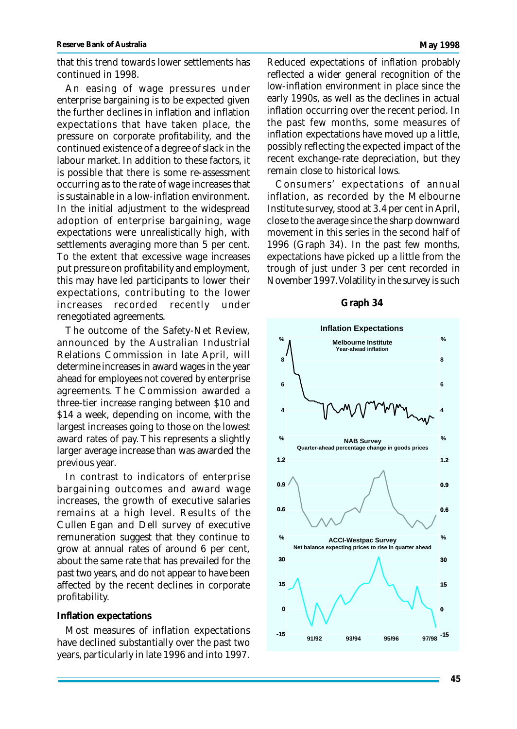that this trend towards lower settlements has continued in 1998.

An easing of wage pressures under enterprise bargaining is to be expected given the further declines in inflation and inflation expectations that have taken place, the pressure on corporate profitability, and the continued existence of a degree of slack in the labour market. In addition to these factors, it is possible that there is some re-assessment occurring as to the rate of wage increases that is sustainable in a low-inflation environment. In the initial adjustment to the widespread adoption of enterprise bargaining, wage expectations were unrealistically high, with settlements averaging more than 5 per cent. To the extent that excessive wage increases put pressure on profitability and employment, this may have led participants to lower their expectations, contributing to the lower increases recorded recently under renegotiated agreements.

The outcome of the Safety-Net Review, announced by the Australian Industrial Relations Commission in late April, will determine increases in award wages in the year ahead for employees not covered by enterprise agreements. The Commission awarded a three-tier increase ranging between \$10 and \$14 a week, depending on income, with the largest increases going to those on the lowest award rates of pay. This represents a slightly larger average increase than was awarded the previous year.

In contrast to indicators of enterprise bargaining outcomes and award wage increases, the growth of executive salaries remains at a high level. Results of the Cullen Egan and Dell survey of executive remuneration suggest that they continue to grow at annual rates of around 6 per cent, about the same rate that has prevailed for the past two years, and do not appear to have been affected by the recent declines in corporate profitability.

#### **Inflation expectations**

Most measures of inflation expectations have declined substantially over the past two years, particularly in late 1996 and into 1997.

Reduced expectations of inflation probably reflected a wider general recognition of the low-inflation environment in place since the early 1990s, as well as the declines in actual inflation occurring over the recent period. In the past few months, some measures of inflation expectations have moved up a little, possibly reflecting the expected impact of the recent exchange-rate depreciation, but they remain close to historical lows.

Consumers' expectations of annual inflation, as recorded by the Melbourne Institute survey, stood at 3.4 per cent in April, close to the average since the sharp downward movement in this series in the second half of 1996 (Graph 34). In the past few months, expectations have picked up a little from the trough of just under 3 per cent recorded in November 1997. Volatility in the survey is such

#### **Graph 34**

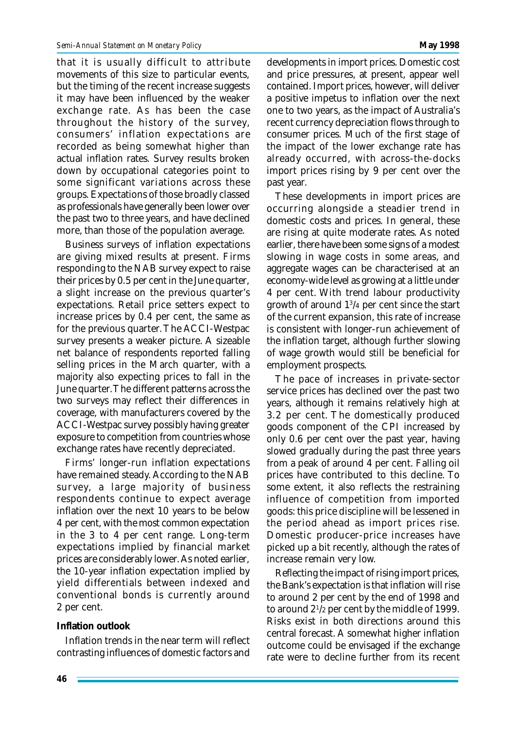that it is usually difficult to attribute movements of this size to particular events, but the timing of the recent increase suggests it may have been influenced by the weaker exchange rate. As has been the case throughout the history of the survey, consumers' inflation expectations are recorded as being somewhat higher than actual inflation rates. Survey results broken down by occupational categories point to some significant variations across these groups. Expectations of those broadly classed as professionals have generally been lower over the past two to three years, and have declined more, than those of the population average.

Business surveys of inflation expectations are giving mixed results at present. Firms responding to the NAB survey expect to raise their prices by 0.5 per cent in the June quarter, a slight increase on the previous quarter's expectations. Retail price setters expect to increase prices by 0.4 per cent, the same as for the previous quarter. The ACCI-Westpac survey presents a weaker picture. A sizeable net balance of respondents reported falling selling prices in the March quarter, with a majority also expecting prices to fall in the June quarter. The different patterns across the two surveys may reflect their differences in coverage, with manufacturers covered by the ACCI-Westpac survey possibly having greater exposure to competition from countries whose exchange rates have recently depreciated.

Firms' longer-run inflation expectations have remained steady. According to the NAB survey, a large majority of business respondents continue to expect average inflation over the next 10 years to be below 4 per cent, with the most common expectation in the 3 to 4 per cent range. Long-term expectations implied by financial market prices are considerably lower. As noted earlier, the 10-year inflation expectation implied by yield differentials between indexed and conventional bonds is currently around 2 per cent.

#### **Inflation outlook**

Inflation trends in the near term will reflect contrasting influences of domestic factors and developments in import prices. Domestic cost and price pressures, at present, appear well contained. Import prices, however, will deliver a positive impetus to inflation over the next one to two years, as the impact of Australia's recent currency depreciation flows through to consumer prices. Much of the first stage of the impact of the lower exchange rate has already occurred, with across-the-docks import prices rising by 9 per cent over the past year.

These developments in import prices are occurring alongside a steadier trend in domestic costs and prices. In general, these are rising at quite moderate rates. As noted earlier, there have been some signs of a modest slowing in wage costs in some areas, and aggregate wages can be characterised at an economy-wide level as growing at a little under 4 per cent. With trend labour productivity growth of around 1<sup>3</sup> /4 per cent since the start of the current expansion, this rate of increase is consistent with longer-run achievement of the inflation target, although further slowing of wage growth would still be beneficial for employment prospects.

The pace of increases in private-sector service prices has declined over the past two years, although it remains relatively high at 3.2 per cent. The domestically produced goods component of the CPI increased by only 0.6 per cent over the past year, having slowed gradually during the past three years from a peak of around 4 per cent. Falling oil prices have contributed to this decline. To some extent, it also reflects the restraining influence of competition from imported goods: this price discipline will be lessened in the period ahead as import prices rise. Domestic producer-price increases have picked up a bit recently, although the rates of increase remain very low.

Reflecting the impact of rising import prices, the Bank's expectation is that inflation will rise to around 2 per cent by the end of 1998 and to around 2<sup>1</sup> /2 per cent by the middle of 1999. Risks exist in both directions around this central forecast. A somewhat higher inflation outcome could be envisaged if the exchange rate were to decline further from its recent